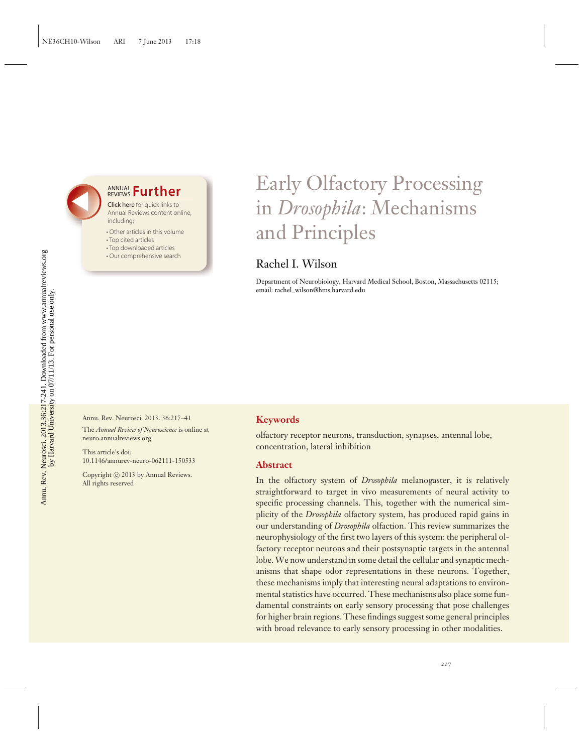# **ANNUAL Further**

Click here for quick links to Annual Reviews content online, including:

- Other articles in this volume
- Top cited articles
- Top downloaded articles
- Our comprehensive search

# Early Olfactory Processing in *Drosophila*: Mechanisms and Principles

# Rachel I. Wilson

Department of Neurobiology, Harvard Medical School, Boston, Massachusetts 02115; email: rachel\_wilson@hms.harvard.edu

Annu. Rev. Neurosci. 2013. 36:217–41

The *Annual Review of Neuroscience* is online at neuro.annualreviews.org

This article's doi: 10.1146/annurev-neuro-062111-150533

Copyright © 2013 by Annual Reviews. All rights reserved

#### **Keywords**

olfactory receptor neurons, transduction, synapses, antennal lobe, concentration, lateral inhibition

#### **Abstract**

In the olfactory system of *Drosophila* melanogaster, it is relatively straightforward to target in vivo measurements of neural activity to specific processing channels. This, together with the numerical simplicity of the *Drosophila* olfactory system, has produced rapid gains in our understanding of *Drosophila* olfaction. This review summarizes the neurophysiology of the first two layers of this system: the peripheral olfactory receptor neurons and their postsynaptic targets in the antennal lobe. We now understand in some detail the cellular and synaptic mechanisms that shape odor representations in these neurons. Together, these mechanisms imply that interesting neural adaptations to environmental statistics have occurred. These mechanisms also place some fundamental constraints on early sensory processing that pose challenges for higher brain regions. These findings suggest some general principles with broad relevance to early sensory processing in other modalities.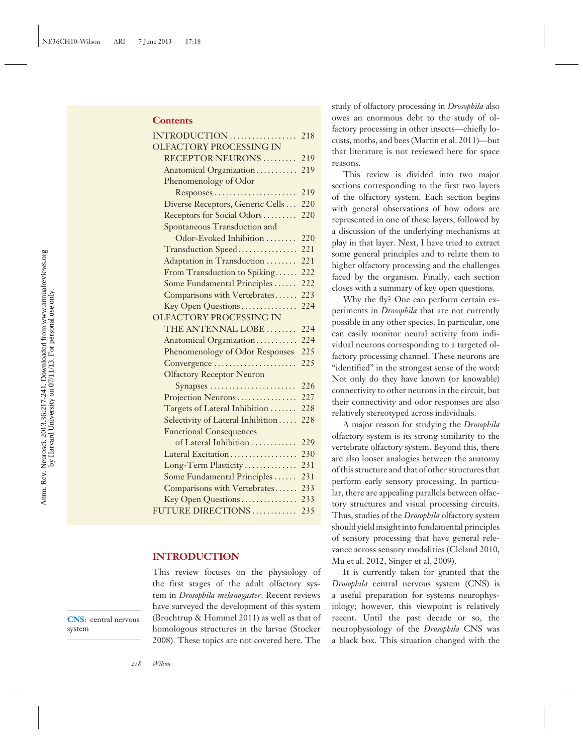| INTRODUCTION                      | 218 |
|-----------------------------------|-----|
| <b>OLFACTORY PROCESSING IN</b>    |     |
| RECEPTOR NEURONS                  | 219 |
| Anatomical Organization           | 219 |
| Phenomenology of Odor             |     |
| Responses                         | 219 |
| Diverse Receptors, Generic Cells  | 220 |
| Receptors for Social Odors        | 220 |
| Spontaneous Transduction and      |     |
| Odor-Evoked Inhibition            | 220 |
| Transduction Speed                | 221 |
| Adaptation in Transduction        | 221 |
| From Transduction to Spiking      | 222 |
| Some Fundamental Principles       | 222 |
| Comparisons with Vertebrates      | 223 |
| Key Open Questions                | 224 |
| <b>OLFACTORY PROCESSING IN</b>    |     |
| THE ANTENNAL LOBE                 | 224 |
| Anatomical Organization           | 224 |
| Phenomenology of Odor Responses   | 225 |
| Convergence                       | 225 |
| <b>Olfactory Receptor Neuron</b>  |     |
| Synapses                          | 226 |
| Projection Neurons                | 227 |
| Targets of Lateral Inhibition     | 228 |
| Selectivity of Lateral Inhibition | 228 |
| <b>Functional Consequences</b>    |     |
| of Lateral Inhibition             | 229 |
| Lateral Excitation                | 230 |
| Long-Term Plasticity              | 231 |
| Some Fundamental Principles       | 231 |
| Comparisons with Vertebrates      | 233 |
| Key Open Questions                | 233 |
| FUTURE DIRECTIONS                 | 235 |
|                                   |     |

## **INTRODUCTION**

This review focuses on the physiology of the first stages of the adult olfactory system in *Drosophila melanogaster*. Recent reviews have surveyed the development of this system (Brochtrup & Hummel 2011) as well as that of homologous structures in the larvae (Stocker 2008). These topics are not covered here. The

study of olfactory processing in *Drosophila* also owes an enormous debt to the study of olfactory processing in other insects—chiefly locusts, moths, and bees (Martin et al. 2011)—but that literature is not reviewed here for space reasons.

This review is divided into two major sections corresponding to the first two layers of the olfactory system. Each section begins with general observations of how odors are represented in one of these layers, followed by a discussion of the underlying mechanisms at play in that layer. Next, I have tried to extract some general principles and to relate them to higher olfactory processing and the challenges faced by the organism. Finally, each section closes with a summary of key open questions.

Why the fly? One can perform certain experiments in *Drosophila* that are not currently possible in any other species. In particular, one can easily monitor neural activity from individual neurons corresponding to a targeted olfactory processing channel. These neurons are "identified" in the strongest sense of the word: Not only do they have known (or knowable) connectivity to other neurons in the circuit, but their connectivity and odor responses are also relatively stereotyped across individuals.

A major reason for studying the *Drosophila* olfactory system is its strong similarity to the vertebrate olfactory system. Beyond this, there are also looser analogies between the anatomy of this structure and that of other structures that perform early sensory processing. In particular, there are appealing parallels between olfactory structures and visual processing circuits. Thus, studies of the *Drosophila* olfactory system should yield insight into fundamental principles of sensory processing that have general relevance across sensory modalities (Cleland 2010, Mu et al. 2012, Singer et al. 2009).

It is currently taken for granted that the *Drosophila* central nervous system (CNS) is a useful preparation for systems neurophysiology; however, this viewpoint is relatively recent. Until the past decade or so, the neurophysiology of the *Drosophila* CNS was a black box. This situation changed with the

**CNS:** central nervous system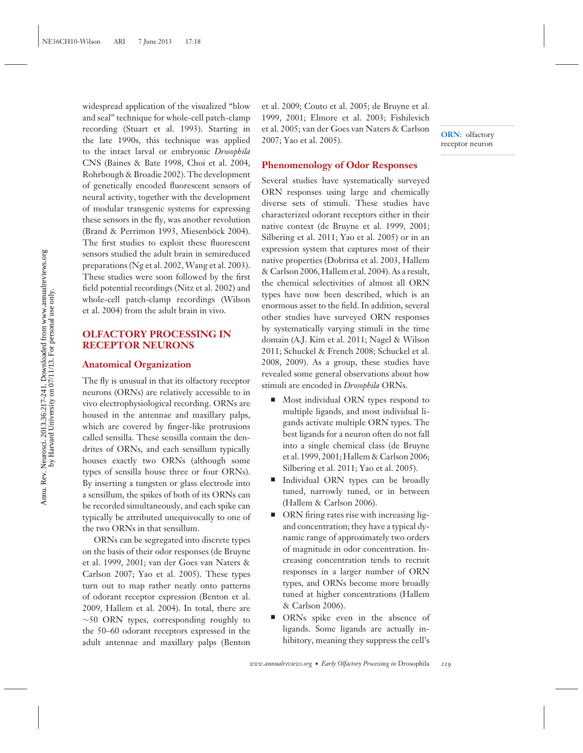widespread application of the visualized "blow and seal" technique for whole-cell patch-clamp recording (Stuart et al. 1993). Starting in the late 1990s, this technique was applied to the intact larval or embryonic *Drosophila* CNS (Baines & Bate 1998, Choi et al. 2004, Rohrbough & Broadie 2002). The development of genetically encoded fluorescent sensors of neural activity, together with the development of modular transgenic systems for expressing these sensors in the fly, was another revolution (Brand & Perrimon 1993, Miesenböck 2004). The first studies to exploit these fluorescent sensors studied the adult brain in semireduced preparations (Ng et al. 2002, Wang et al. 2003). These studies were soon followed by the first field potential recordings (Nitz et al. 2002) and whole-cell patch-clamp recordings (Wilson et al. 2004) from the adult brain in vivo.

## **OLFACTORY PROCESSING IN RECEPTOR NEURONS**

#### **Anatomical Organization**

The fly is unusual in that its olfactory receptor neurons (ORNs) are relatively accessible to in vivo electrophysiological recording. ORNs are housed in the antennae and maxillary palps, which are covered by finger-like protrusions called sensilla. These sensilla contain the dendrites of ORNs, and each sensillum typically houses exactly two ORNs (although some types of sensilla house three or four ORNs). By inserting a tungsten or glass electrode into a sensillum, the spikes of both of its ORNs can be recorded simultaneously, and each spike can typically be attributed unequivocally to one of the two ORNs in that sensillum.

ORNs can be segregated into discrete types on the basis of their odor responses (de Bruyne et al. 1999, 2001; van der Goes van Naters & Carlson 2007; Yao et al. 2005). These types turn out to map rather neatly onto patterns of odorant receptor expression (Benton et al. 2009, Hallem et al. 2004). In total, there are  $~\sim$ 50 ORN types, corresponding roughly to the 50–60 odorant receptors expressed in the adult antennae and maxillary palps (Benton

et al. 2009; Couto et al. 2005; de Bruyne et al. 1999, 2001; Elmore et al. 2003; Fishilevich et al. 2005; van der Goes van Naters & Carlson 2007; Yao et al. 2005).

**ORN:** olfactory receptor neuron

#### **Phenomenology of Odor Responses**

Several studies have systematically surveyed ORN responses using large and chemically diverse sets of stimuli. These studies have characterized odorant receptors either in their native context (de Bruyne et al. 1999, 2001; Silbering et al. 2011; Yao et al. 2005) or in an expression system that captures most of their native properties (Dobritsa et al. 2003, Hallem & Carlson 2006, Hallem et al. 2004). As a result, the chemical selectivities of almost all ORN types have now been described, which is an enormous asset to the field. In addition, several other studies have surveyed ORN responses by systematically varying stimuli in the time domain (A.J. Kim et al. 2011; Nagel & Wilson 2011; Schuckel & French 2008; Schuckel et al. 2008, 2009). As a group, these studies have revealed some general observations about how stimuli are encoded in *Drosophila* ORNs.

- Most individual ORN types respond to multiple ligands, and most individual ligands activate multiple ORN types. The best ligands for a neuron often do not fall into a single chemical class (de Bruyne et al. 1999, 2001; Hallem & Carlson 2006; Silbering et al. 2011; Yao et al. 2005).
- Individual ORN types can be broadly tuned, narrowly tuned, or in between (Hallem & Carlson 2006).
- ORN firing rates rise with increasing ligand concentration; they have a typical dynamic range of approximately two orders of magnitude in odor concentration. Increasing concentration tends to recruit responses in a larger number of ORN types, and ORNs become more broadly tuned at higher concentrations (Hallem & Carlson 2006).
- **ORNs** spike even in the absence of ligands. Some ligands are actually inhibitory, meaning they suppress the cell's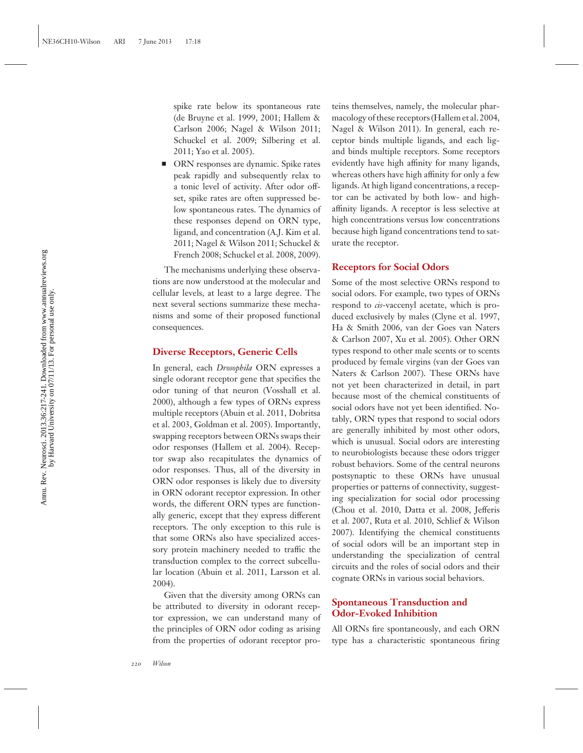spike rate below its spontaneous rate (de Bruyne et al. 1999, 2001; Hallem & Carlson 2006; Nagel & Wilson 2011; Schuckel et al. 2009; Silbering et al. 2011; Yao et al. 2005).

■ ORN responses are dynamic. Spike rates peak rapidly and subsequently relax to a tonic level of activity. After odor offset, spike rates are often suppressed below spontaneous rates. The dynamics of these responses depend on ORN type, ligand, and concentration (A.J. Kim et al. 2011; Nagel & Wilson 2011; Schuckel & French 2008; Schuckel et al. 2008, 2009).

The mechanisms underlying these observations are now understood at the molecular and cellular levels, at least to a large degree. The next several sections summarize these mechanisms and some of their proposed functional consequences.

#### **Diverse Receptors, Generic Cells**

In general, each *Drosophila* ORN expresses a single odorant receptor gene that specifies the odor tuning of that neuron (Vosshall et al. 2000), although a few types of ORNs express multiple receptors (Abuin et al. 2011, Dobritsa et al. 2003, Goldman et al. 2005). Importantly, swapping receptors between ORNs swaps their odor responses (Hallem et al. 2004). Receptor swap also recapitulates the dynamics of odor responses. Thus, all of the diversity in ORN odor responses is likely due to diversity in ORN odorant receptor expression. In other words, the different ORN types are functionally generic, except that they express different receptors. The only exception to this rule is that some ORNs also have specialized accessory protein machinery needed to traffic the transduction complex to the correct subcellular location (Abuin et al. 2011, Larsson et al. 2004).

Given that the diversity among ORNs can be attributed to diversity in odorant receptor expression, we can understand many of the principles of ORN odor coding as arising from the properties of odorant receptor proteins themselves, namely, the molecular pharmacology of these receptors (Hallem et al. 2004, Nagel & Wilson 2011). In general, each receptor binds multiple ligands, and each ligand binds multiple receptors. Some receptors evidently have high affinity for many ligands, whereas others have high affinity for only a few ligands. At high ligand concentrations, a receptor can be activated by both low- and highaffinity ligands. A receptor is less selective at high concentrations versus low concentrations because high ligand concentrations tend to saturate the receptor.

#### **Receptors for Social Odors**

Some of the most selective ORNs respond to social odors. For example, two types of ORNs respond to *cis*-vaccenyl acetate, which is produced exclusively by males (Clyne et al. 1997, Ha & Smith 2006, van der Goes van Naters & Carlson 2007, Xu et al. 2005). Other ORN types respond to other male scents or to scents produced by female virgins (van der Goes van Naters & Carlson 2007). These ORNs have not yet been characterized in detail, in part because most of the chemical constituents of social odors have not yet been identified. Notably, ORN types that respond to social odors are generally inhibited by most other odors, which is unusual. Social odors are interesting to neurobiologists because these odors trigger robust behaviors. Some of the central neurons postsynaptic to these ORNs have unusual properties or patterns of connectivity, suggesting specialization for social odor processing (Chou et al. 2010, Datta et al. 2008, Jefferis et al. 2007, Ruta et al. 2010, Schlief & Wilson 2007). Identifying the chemical constituents of social odors will be an important step in understanding the specialization of central circuits and the roles of social odors and their cognate ORNs in various social behaviors.

## **Spontaneous Transduction and Odor-Evoked Inhibition**

All ORNs fire spontaneously, and each ORN type has a characteristic spontaneous firing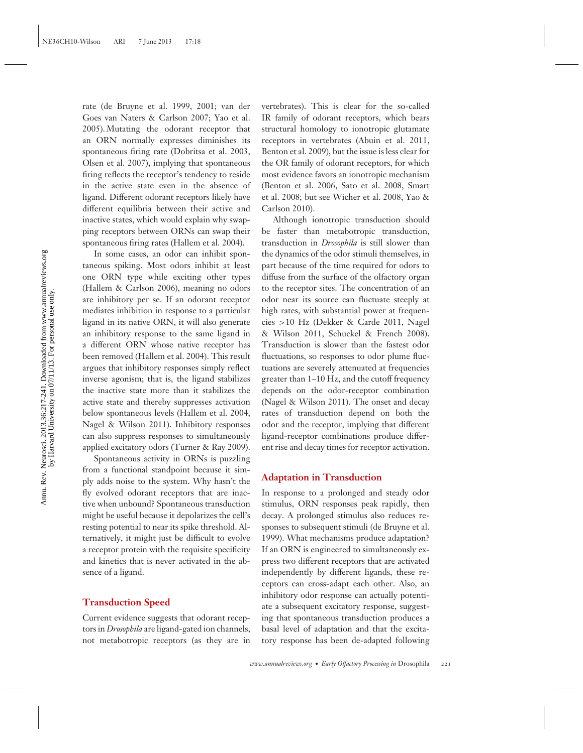rate (de Bruyne et al. 1999, 2001; van der Goes van Naters & Carlson 2007; Yao et al. 2005). Mutating the odorant receptor that an ORN normally expresses diminishes its spontaneous firing rate (Dobritsa et al. 2003, Olsen et al. 2007), implying that spontaneous firing reflects the receptor's tendency to reside in the active state even in the absence of ligand. Different odorant receptors likely have different equilibria between their active and inactive states, which would explain why swapping receptors between ORNs can swap their spontaneous firing rates (Hallem et al. 2004).

In some cases, an odor can inhibit spontaneous spiking. Most odors inhibit at least one ORN type while exciting other types (Hallem & Carlson 2006), meaning no odors are inhibitory per se. If an odorant receptor mediates inhibition in response to a particular ligand in its native ORN, it will also generate an inhibitory response to the same ligand in a different ORN whose native receptor has been removed (Hallem et al. 2004). This result argues that inhibitory responses simply reflect inverse agonism; that is, the ligand stabilizes the inactive state more than it stabilizes the active state and thereby suppresses activation below spontaneous levels (Hallem et al. 2004, Nagel & Wilson 2011). Inhibitory responses can also suppress responses to simultaneously applied excitatory odors (Turner & Ray 2009).

Spontaneous activity in ORNs is puzzling from a functional standpoint because it simply adds noise to the system. Why hasn't the fly evolved odorant receptors that are inactive when unbound? Spontaneous transduction might be useful because it depolarizes the cell's resting potential to near its spike threshold. Alternatively, it might just be difficult to evolve a receptor protein with the requisite specificity and kinetics that is never activated in the absence of a ligand.

#### **Transduction Speed**

Current evidence suggests that odorant receptors in *Drosophila* are ligand-gated ion channels, not metabotropic receptors (as they are in vertebrates). This is clear for the so-called IR family of odorant receptors, which bears structural homology to ionotropic glutamate receptors in vertebrates (Abuin et al. 2011, Benton et al. 2009), but the issue is less clear for the OR family of odorant receptors, for which most evidence favors an ionotropic mechanism (Benton et al. 2006, Sato et al. 2008, Smart et al. 2008; but see Wicher et al. 2008, Yao & Carlson 2010).

Although ionotropic transduction should be faster than metabotropic transduction, transduction in *Drosophila* is still slower than the dynamics of the odor stimuli themselves, in part because of the time required for odors to diffuse from the surface of the olfactory organ to the receptor sites. The concentration of an odor near its source can fluctuate steeply at high rates, with substantial power at frequencies >10 Hz (Dekker & Carde 2011, Nagel & Wilson 2011, Schuckel & French 2008). Transduction is slower than the fastest odor fluctuations, so responses to odor plume fluctuations are severely attenuated at frequencies greater than 1–10 Hz, and the cutoff frequency depends on the odor-receptor combination (Nagel & Wilson 2011). The onset and decay rates of transduction depend on both the odor and the receptor, implying that different ligand-receptor combinations produce different rise and decay times for receptor activation.

#### **Adaptation in Transduction**

In response to a prolonged and steady odor stimulus, ORN responses peak rapidly, then decay. A prolonged stimulus also reduces responses to subsequent stimuli (de Bruyne et al. 1999). What mechanisms produce adaptation? If an ORN is engineered to simultaneously express two different receptors that are activated independently by different ligands, these receptors can cross-adapt each other. Also, an inhibitory odor response can actually potentiate a subsequent excitatory response, suggesting that spontaneous transduction produces a basal level of adaptation and that the excitatory response has been de-adapted following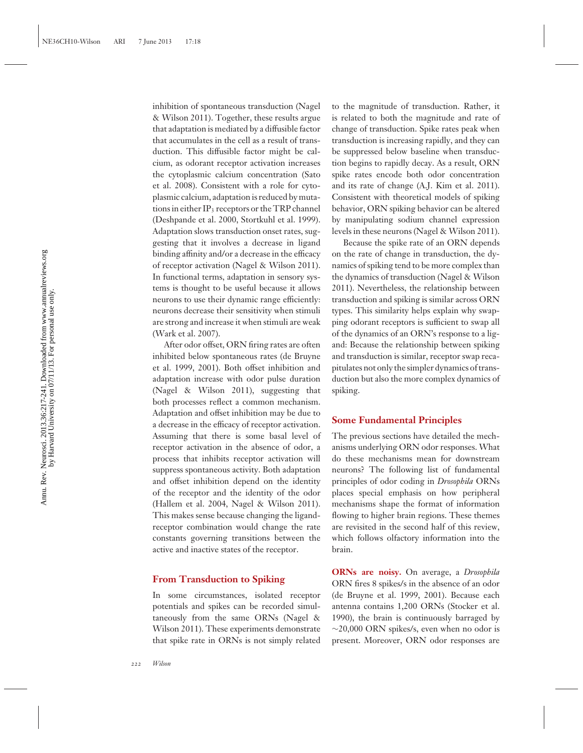inhibition of spontaneous transduction (Nagel & Wilson 2011). Together, these results argue that adaptation is mediated by a diffusible factor that accumulates in the cell as a result of transduction. This diffusible factor might be calcium, as odorant receptor activation increases the cytoplasmic calcium concentration (Sato et al. 2008). Consistent with a role for cytoplasmic calcium, adaptation is reduced by mutations in either  $IP_3$  receptors or the TRP channel (Deshpande et al. 2000, Stortkuhl et al. 1999). Adaptation slows transduction onset rates, suggesting that it involves a decrease in ligand binding affinity and/or a decrease in the efficacy of receptor activation (Nagel & Wilson 2011). In functional terms, adaptation in sensory systems is thought to be useful because it allows neurons to use their dynamic range efficiently: neurons decrease their sensitivity when stimuli are strong and increase it when stimuli are weak (Wark et al. 2007).

After odor offset, ORN firing rates are often inhibited below spontaneous rates (de Bruyne et al. 1999, 2001). Both offset inhibition and adaptation increase with odor pulse duration (Nagel & Wilson 2011), suggesting that both processes reflect a common mechanism. Adaptation and offset inhibition may be due to a decrease in the efficacy of receptor activation. Assuming that there is some basal level of receptor activation in the absence of odor, a process that inhibits receptor activation will suppress spontaneous activity. Both adaptation and offset inhibition depend on the identity of the receptor and the identity of the odor (Hallem et al. 2004, Nagel & Wilson 2011). This makes sense because changing the ligandreceptor combination would change the rate constants governing transitions between the active and inactive states of the receptor.

## **From Transduction to Spiking**

In some circumstances, isolated receptor potentials and spikes can be recorded simultaneously from the same ORNs (Nagel & Wilson 2011). These experiments demonstrate that spike rate in ORNs is not simply related to the magnitude of transduction. Rather, it is related to both the magnitude and rate of change of transduction. Spike rates peak when transduction is increasing rapidly, and they can be suppressed below baseline when transduction begins to rapidly decay. As a result, ORN spike rates encode both odor concentration and its rate of change (A.J. Kim et al. 2011). Consistent with theoretical models of spiking behavior, ORN spiking behavior can be altered by manipulating sodium channel expression levels in these neurons (Nagel & Wilson 2011).

Because the spike rate of an ORN depends on the rate of change in transduction, the dynamics of spiking tend to be more complex than the dynamics of transduction (Nagel & Wilson 2011). Nevertheless, the relationship between transduction and spiking is similar across ORN types. This similarity helps explain why swapping odorant receptors is sufficient to swap all of the dynamics of an ORN's response to a ligand: Because the relationship between spiking and transduction is similar, receptor swap recapitulates not only the simpler dynamics of transduction but also the more complex dynamics of spiking.

#### **Some Fundamental Principles**

The previous sections have detailed the mechanisms underlying ORN odor responses. What do these mechanisms mean for downstream neurons? The following list of fundamental principles of odor coding in *Drosophila* ORNs places special emphasis on how peripheral mechanisms shape the format of information flowing to higher brain regions. These themes are revisited in the second half of this review, which follows olfactory information into the brain.

**ORNs are noisy.** On average, a *Drosophila* ORN fires 8 spikes/s in the absence of an odor (de Bruyne et al. 1999, 2001). Because each antenna contains 1,200 ORNs (Stocker et al. 1990), the brain is continuously barraged by  $\sim$ 20,000 ORN spikes/s, even when no odor is present. Moreover, ORN odor responses are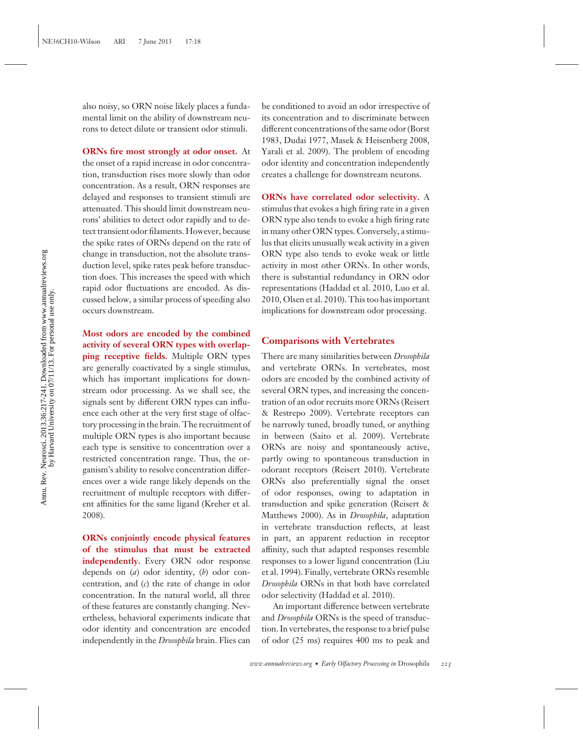also noisy, so ORN noise likely places a fundamental limit on the ability of downstream neurons to detect dilute or transient odor stimuli.

**ORNs fire most strongly at odor onset.** At the onset of a rapid increase in odor concentration, transduction rises more slowly than odor concentration. As a result, ORN responses are delayed and responses to transient stimuli are attenuated. This should limit downstream neurons' abilities to detect odor rapidly and to detect transient odor filaments. However, because the spike rates of ORNs depend on the rate of change in transduction, not the absolute transduction level, spike rates peak before transduction does. This increases the speed with which rapid odor fluctuations are encoded. As discussed below, a similar process of speeding also occurs downstream.

**Most odors are encoded by the combined activity of several ORN types with overlapping receptive fields.** Multiple ORN types are generally coactivated by a single stimulus, which has important implications for downstream odor processing. As we shall see, the signals sent by different ORN types can influence each other at the very first stage of olfactory processing in the brain. The recruitment of multiple ORN types is also important because each type is sensitive to concentration over a restricted concentration range. Thus, the organism's ability to resolve concentration differences over a wide range likely depends on the recruitment of multiple receptors with different affinities for the same ligand (Kreher et al. 2008).

**ORNs conjointly encode physical features of the stimulus that must be extracted independently.** Every ORN odor response depends on (*a*) odor identity, (*b*) odor concentration, and (*c*) the rate of change in odor concentration. In the natural world, all three of these features are constantly changing. Nevertheless, behavioral experiments indicate that odor identity and concentration are encoded independently in the *Drosophila* brain. Flies can be conditioned to avoid an odor irrespective of its concentration and to discriminate between different concentrations of the same odor (Borst 1983, Dudai 1977, Masek & Heisenberg 2008, Yarali et al. 2009). The problem of encoding odor identity and concentration independently creates a challenge for downstream neurons.

**ORNs have correlated odor selectivity.** A stimulus that evokes a high firing rate in a given ORN type also tends to evoke a high firing rate in many other ORN types. Conversely, a stimulus that elicits unusually weak activity in a given ORN type also tends to evoke weak or little activity in most other ORNs. In other words, there is substantial redundancy in ORN odor representations (Haddad et al. 2010, Luo et al. 2010, Olsen et al. 2010). This too has important implications for downstream odor processing.

## **Comparisons with Vertebrates**

There are many similarities between *Drosophila* and vertebrate ORNs. In vertebrates, most odors are encoded by the combined activity of several ORN types, and increasing the concentration of an odor recruits more ORNs (Reisert & Restrepo 2009). Vertebrate receptors can be narrowly tuned, broadly tuned, or anything in between (Saito et al. 2009). Vertebrate ORNs are noisy and spontaneously active, partly owing to spontaneous transduction in odorant receptors (Reisert 2010). Vertebrate ORNs also preferentially signal the onset of odor responses, owing to adaptation in transduction and spike generation (Reisert & Matthews 2000). As in *Drosophila*, adaptation in vertebrate transduction reflects, at least in part, an apparent reduction in receptor affinity, such that adapted responses resemble responses to a lower ligand concentration (Liu et al. 1994). Finally, vertebrate ORNs resemble *Drosophila* ORNs in that both have correlated odor selectivity (Haddad et al. 2010).

An important difference between vertebrate and *Drosophila* ORNs is the speed of transduction. In vertebrates, the response to a brief pulse of odor (25 ms) requires 400 ms to peak and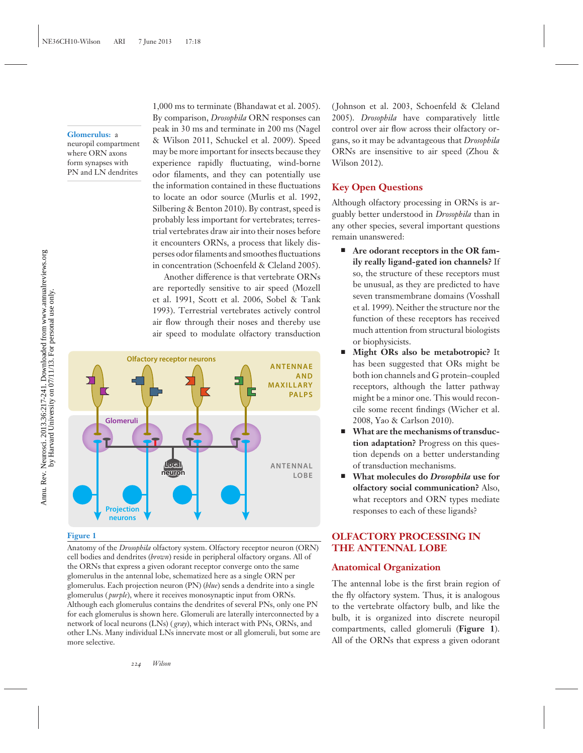#### **Glomerulus:** a

neuropil compartment where ORN axons form synapses with PN and LN dendrites

1,000 ms to terminate (Bhandawat et al. 2005). By comparison, *Drosophila* ORN responses can peak in 30 ms and terminate in 200 ms (Nagel & Wilson 2011, Schuckel et al. 2009). Speed may be more important for insects because they experience rapidly fluctuating, wind-borne odor filaments, and they can potentially use the information contained in these fluctuations to locate an odor source (Murlis et al. 1992, Silbering & Benton 2010). By contrast, speed is probably less important for vertebrates; terrestrial vertebrates draw air into their noses before it encounters ORNs, a process that likely disperses odor filaments and smoothes fluctuations in concentration (Schoenfeld & Cleland 2005).

Another difference is that vertebrate ORNs are reportedly sensitive to air speed (Mozell et al. 1991, Scott et al. 2006, Sobel & Tank 1993). Terrestrial vertebrates actively control air flow through their noses and thereby use air speed to modulate olfactory transduction



#### **Figure 1**

Anatomy of the *Drosophila* olfactory system. Olfactory receptor neuron (ORN) cell bodies and dendrites (*brown*) reside in peripheral olfactory organs. All of the ORNs that express a given odorant receptor converge onto the same glomerulus in the antennal lobe, schematized here as a single ORN per glomerulus. Each projection neuron (PN) (*blue*) sends a dendrite into a single glomerulus ( *purple*), where it receives monosynaptic input from ORNs. Although each glomerulus contains the dendrites of several PNs, only one PN for each glomerulus is shown here. Glomeruli are laterally interconnected by a network of local neurons (LNs) ( *gray*), which interact with PNs, ORNs, and other LNs. Many individual LNs innervate most or all glomeruli, but some are more selective.

( Johnson et al. 2003, Schoenfeld & Cleland 2005). *Drosophila* have comparatively little control over air flow across their olfactory organs, so it may be advantageous that *Drosophila* ORNs are insensitive to air speed (Zhou & Wilson 2012).

## **Key Open Questions**

Although olfactory processing in ORNs is arguably better understood in *Drosophila* than in any other species, several important questions remain unanswered:

- Are odorant receptors in the OR fam**ily really ligand-gated ion channels?** If so, the structure of these receptors must be unusual, as they are predicted to have seven transmembrane domains (Vosshall et al. 1999). Neither the structure nor the function of these receptors has received much attention from structural biologists or biophysicists.
- **Might ORs also be metabotropic?** It has been suggested that ORs might be both ion channels and G protein–coupled receptors, although the latter pathway might be a minor one. This would reconcile some recent findings (Wicher et al. 2008, Yao & Carlson 2010).
- **What are the mechanisms of transduction adaptation?** Progress on this question depends on a better understanding of transduction mechanisms.
- - **What molecules do** *Drosophila* **use for olfactory social communication?** Also, what receptors and ORN types mediate responses to each of these ligands?

# **OLFACTORY PROCESSING IN THE ANTENNAL LOBE**

## **Anatomical Organization**

The antennal lobe is the first brain region of the fly olfactory system. Thus, it is analogous to the vertebrate olfactory bulb, and like the bulb, it is organized into discrete neuropil compartments, called glomeruli (**Figure 1**). All of the ORNs that express a given odorant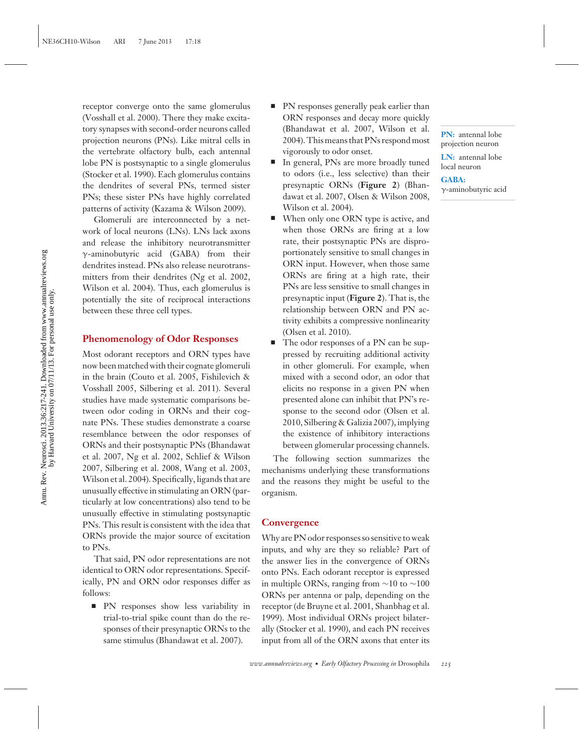receptor converge onto the same glomerulus (Vosshall et al. 2000). There they make excitatory synapses with second-order neurons called projection neurons (PNs). Like mitral cells in the vertebrate olfactory bulb, each antennal lobe PN is postsynaptic to a single glomerulus (Stocker et al. 1990). Each glomerulus contains the dendrites of several PNs, termed sister PNs; these sister PNs have highly correlated patterns of activity (Kazama & Wilson 2009).

Glomeruli are interconnected by a network of local neurons (LNs). LNs lack axons and release the inhibitory neurotransmitter γ-aminobutyric acid (GABA) from their dendrites instead. PNs also release neurotransmitters from their dendrites (Ng et al. 2002, Wilson et al. 2004). Thus, each glomerulus is potentially the site of reciprocal interactions between these three cell types.

# **Phenomenology of Odor Responses**

Most odorant receptors and ORN types have now been matched with their cognate glomeruli in the brain (Couto et al. 2005, Fishilevich & Vosshall 2005, Silbering et al. 2011). Several studies have made systematic comparisons between odor coding in ORNs and their cognate PNs. These studies demonstrate a coarse resemblance between the odor responses of ORNs and their postsynaptic PNs (Bhandawat et al. 2007, Ng et al. 2002, Schlief & Wilson 2007, Silbering et al. 2008, Wang et al. 2003, Wilson et al. 2004). Specifically, ligands that are unusually effective in stimulating an ORN (particularly at low concentrations) also tend to be unusually effective in stimulating postsynaptic PNs. This result is consistent with the idea that ORNs provide the major source of excitation to PNs.

That said, PN odor representations are not identical to ORN odor representations. Specifically, PN and ORN odor responses differ as follows:

- PN responses show less variability in trial-to-trial spike count than do the responses of their presynaptic ORNs to the same stimulus (Bhandawat et al. 2007).

- - PN responses generally peak earlier than ORN responses and decay more quickly (Bhandawat et al. 2007, Wilson et al. 2004). This means that PNs respond most vigorously to odor onset.
- In general, PNs are more broadly tuned to odors (i.e., less selective) than their presynaptic ORNs (**Figure 2**) (Bhandawat et al. 2007, Olsen & Wilson 2008, Wilson et al. 2004).
- When only one ORN type is active, and when those ORNs are firing at a low rate, their postsynaptic PNs are disproportionately sensitive to small changes in ORN input. However, when those same ORNs are firing at a high rate, their PNs are less sensitive to small changes in presynaptic input (**Figure 2**). That is, the relationship between ORN and PN activity exhibits a compressive nonlinearity (Olsen et al. 2010).
- The odor responses of a PN can be suppressed by recruiting additional activity in other glomeruli. For example, when mixed with a second odor, an odor that elicits no response in a given PN when presented alone can inhibit that PN's response to the second odor (Olsen et al. 2010, Silbering & Galizia 2007), implying the existence of inhibitory interactions between glomerular processing channels.

The following section summarizes the mechanisms underlying these transformations and the reasons they might be useful to the organism.

# **Convergence**

Why are PN odor responses so sensitive to weak inputs, and why are they so reliable? Part of the answer lies in the convergence of ORNs onto PNs. Each odorant receptor is expressed in multiple ORNs, ranging from ∼10 to ∼100 ORNs per antenna or palp, depending on the receptor (de Bruyne et al. 2001, Shanbhag et al. 1999). Most individual ORNs project bilaterally (Stocker et al. 1990), and each PN receives input from all of the ORN axons that enter its

**LN:** antennal lobe local neuron

**GABA:** γ-aminobutyric acid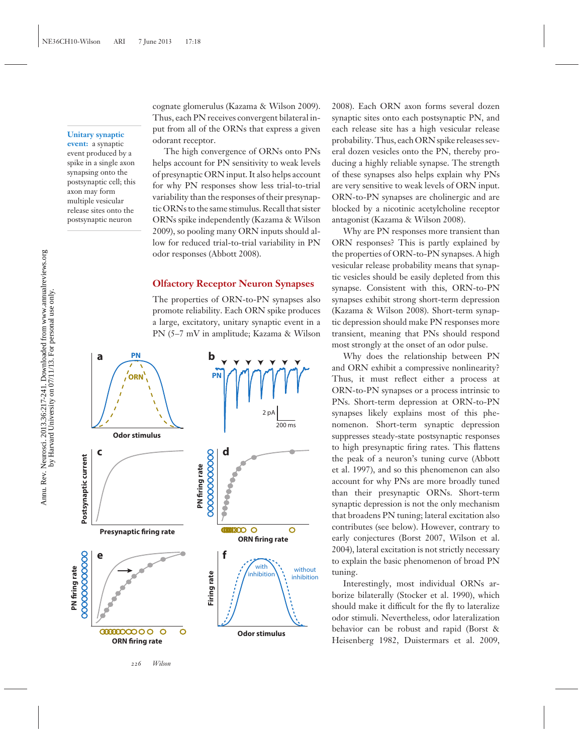**Unitary synaptic event:** a synaptic event produced by a spike in a single axon synapsing onto the postsynaptic cell; this axon may form multiple vesicular release sites onto the postsynaptic neuron

cognate glomerulus (Kazama & Wilson 2009). Thus, each PN receives convergent bilateral input from all of the ORNs that express a given odorant receptor.

The high convergence of ORNs onto PNs helps account for PN sensitivity to weak levels of presynaptic ORN input. It also helps account for why PN responses show less trial-to-trial variability than the responses of their presynaptic ORNs to the same stimulus. Recall that sister ORNs spike independently (Kazama & Wilson 2009), so pooling many ORN inputs should allow for reduced trial-to-trial variability in PN odor responses (Abbott 2008).

#### **Olfactory Receptor Neuron Synapses**

The properties of ORN-to-PN synapses also promote reliability. Each ORN spike produces a large, excitatory, unitary synaptic event in a PN (5–7 mV in amplitude; Kazama & Wilson



2008). Each ORN axon forms several dozen synaptic sites onto each postsynaptic PN, and each release site has a high vesicular release probability. Thus, each ORN spike releases several dozen vesicles onto the PN, thereby producing a highly reliable synapse. The strength of these synapses also helps explain why PNs are very sensitive to weak levels of ORN input. ORN-to-PN synapses are cholinergic and are blocked by a nicotinic acetylcholine receptor antagonist (Kazama & Wilson 2008).

Why are PN responses more transient than ORN responses? This is partly explained by the properties of ORN-to-PN synapses. A high vesicular release probability means that synaptic vesicles should be easily depleted from this synapse. Consistent with this, ORN-to-PN synapses exhibit strong short-term depression (Kazama & Wilson 2008). Short-term synaptic depression should make PN responses more transient, meaning that PNs should respond most strongly at the onset of an odor pulse.

Why does the relationship between PN and ORN exhibit a compressive nonlinearity? Thus, it must reflect either a process at ORN-to-PN synapses or a process intrinsic to PNs. Short-term depression at ORN-to-PN synapses likely explains most of this phenomenon. Short-term synaptic depression suppresses steady-state postsynaptic responses to high presynaptic firing rates. This flattens the peak of a neuron's tuning curve (Abbott et al. 1997), and so this phenomenon can also account for why PNs are more broadly tuned than their presynaptic ORNs. Short-term synaptic depression is not the only mechanism that broadens PN tuning; lateral excitation also contributes (see below). However, contrary to early conjectures (Borst 2007, Wilson et al. 2004), lateral excitation is not strictly necessary to explain the basic phenomenon of broad PN tuning.

Interestingly, most individual ORNs arborize bilaterally (Stocker et al. 1990), which should make it difficult for the fly to lateralize odor stimuli. Nevertheless, odor lateralization behavior can be robust and rapid (Borst & Heisenberg 1982, Duistermars et al. 2009,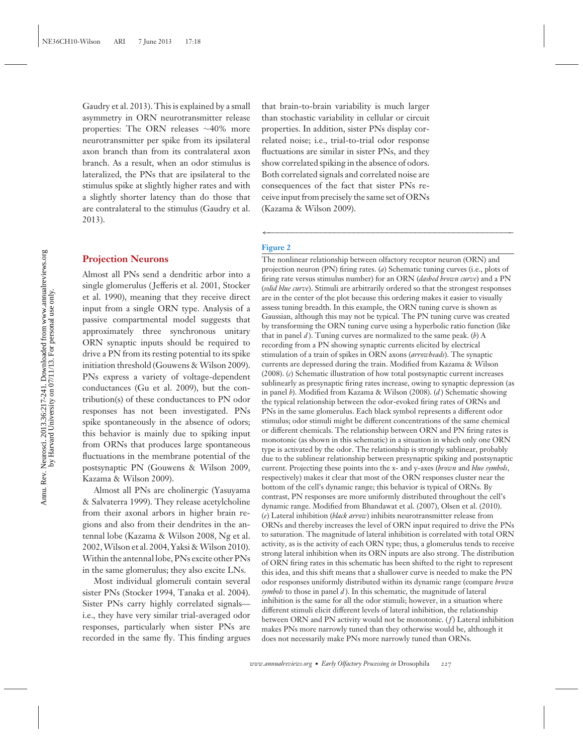Gaudry et al. 2013). This is explained by a small asymmetry in ORN neurotransmitter release properties: The ORN releases ∼40% more neurotransmitter per spike from its ipsilateral axon branch than from its contralateral axon branch. As a result, when an odor stimulus is lateralized, the PNs that are ipsilateral to the stimulus spike at slightly higher rates and with a slightly shorter latency than do those that are contralateral to the stimulus (Gaudry et al. 2013).

## **Projection Neurons**

Almost all PNs send a dendritic arbor into a single glomerulus ( Jefferis et al. 2001, Stocker et al. 1990), meaning that they receive direct input from a single ORN type. Analysis of a passive compartmental model suggests that approximately three synchronous unitary ORN synaptic inputs should be required to drive a PN from its resting potential to its spike initiation threshold (Gouwens & Wilson 2009). PNs express a variety of voltage-dependent conductances (Gu et al. 2009), but the contribution(s) of these conductances to PN odor responses has not been investigated. PNs spike spontaneously in the absence of odors; this behavior is mainly due to spiking input from ORNs that produces large spontaneous fluctuations in the membrane potential of the postsynaptic PN (Gouwens & Wilson 2009, Kazama & Wilson 2009).

Almost all PNs are cholinergic (Yasuyama & Salvaterra 1999). They release acetylcholine from their axonal arbors in higher brain regions and also from their dendrites in the antennal lobe (Kazama & Wilson 2008, Ng et al. 2002, Wilson et al. 2004, Yaksi & Wilson 2010). Within the antennal lobe, PNs excite other PNs in the same glomerulus; they also excite LNs.

Most individual glomeruli contain several sister PNs (Stocker 1994, Tanaka et al. 2004). Sister PNs carry highly correlated signals i.e., they have very similar trial-averaged odor responses, particularly when sister PNs are recorded in the same fly. This finding argues

that brain-to-brain variability is much larger than stochastic variability in cellular or circuit properties. In addition, sister PNs display correlated noise; i.e., trial-to-trial odor response fluctuations are similar in sister PNs, and they show correlated spiking in the absence of odors. Both correlated signals and correlated noise are consequences of the fact that sister PNs receive input from precisely the same set of ORNs (Kazama & Wilson 2009).

#### **Figure 2**

The nonlinear relationship between olfactory receptor neuron (ORN) and projection neuron (PN) firing rates. (*a*) Schematic tuning curves (i.e., plots of firing rate versus stimulus number) for an ORN (*dashed brown curve*) and a PN (*solid blue curve*). Stimuli are arbitrarily ordered so that the strongest responses are in the center of the plot because this ordering makes it easier to visually assess tuning breadth. In this example, the ORN tuning curve is shown as Gaussian, although this may not be typical. The PN tuning curve was created by transforming the ORN tuning curve using a hyperbolic ratio function (like that in panel *d* ). Tuning curves are normalized to the same peak. (*b*) A recording from a PN showing synaptic currents elicited by electrical stimulation of a train of spikes in ORN axons (*arrowheads*). The synaptic currents are depressed during the train. Modified from Kazama & Wilson (2008). (*c*) Schematic illustration of how total postsynaptic current increases sublinearly as presynaptic firing rates increase, owing to synaptic depression (as in panel *b*). Modified from Kazama & Wilson (2008). (*d* ) Schematic showing the typical relationship between the odor-evoked firing rates of ORNs and PNs in the same glomerulus. Each black symbol represents a different odor stimulus; odor stimuli might be different concentrations of the same chemical or different chemicals. The relationship between ORN and PN firing rates is monotonic (as shown in this schematic) in a situation in which only one ORN type is activated by the odor. The relationship is strongly sublinear, probably due to the sublinear relationship between presynaptic spiking and postsynaptic current. Projecting these points into the x- and y-axes (*brown* and *blue symbols*, respectively) makes it clear that most of the ORN responses cluster near the bottom of the cell's dynamic range; this behavior is typical of ORNs. By contrast, PN responses are more uniformly distributed throughout the cell's dynamic range. Modified from Bhandawat et al. (2007), Olsen et al. (2010). (*e*) Lateral inhibition (*black arrow*) inhibits neurotransmitter release from ORNs and thereby increases the level of ORN input required to drive the PNs to saturation. The magnitude of lateral inhibition is correlated with total ORN activity, as is the activity of each ORN type; thus, a glomerulus tends to receive strong lateral inhibition when its ORN inputs are also strong. The distribution of ORN firing rates in this schematic has been shifted to the right to represent this idea, and this shift means that a shallower curve is needed to make the PN odor responses uniformly distributed within its dynamic range (compare *brown symbols* to those in panel *d* ). In this schematic, the magnitude of lateral inhibition is the same for all the odor stimuli; however, in a situation where different stimuli elicit different levels of lateral inhibition, the relationship between ORN and PN activity would not be monotonic. (*f*) Lateral inhibition makes PNs more narrowly tuned than they otherwise would be, although it does not necessarily make PNs more narrowly tuned than ORNs.

←−−−−−−−−−−−−−−−−−−−−−−−−−−−−−−−−−−−−−−−−−−−−−−−−−−−−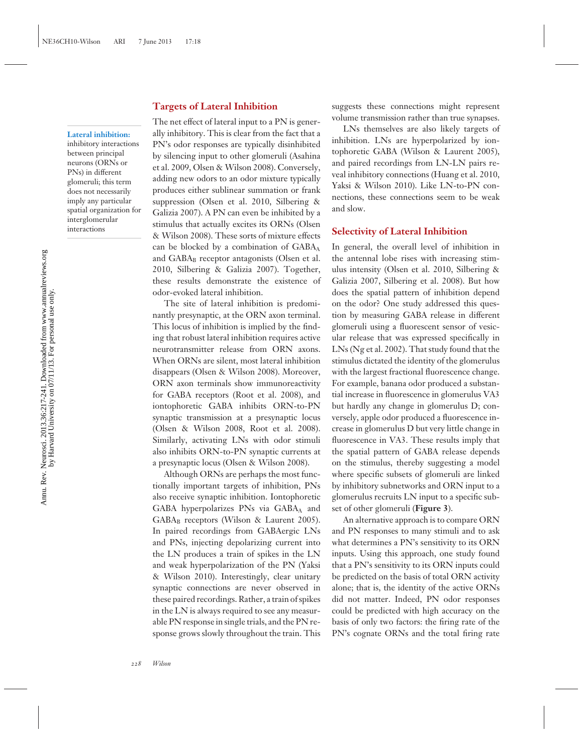### **Targets of Lateral Inhibition**

#### **Lateral inhibition:**

inhibitory interactions between principal neurons (ORNs or PNs) in different glomeruli; this term does not necessarily imply any particular spatial organization for interglomerular interactions

The net effect of lateral input to a PN is generally inhibitory. This is clear from the fact that a PN's odor responses are typically disinhibited by silencing input to other glomeruli (Asahina et al. 2009, Olsen & Wilson 2008). Conversely, adding new odors to an odor mixture typically produces either sublinear summation or frank suppression (Olsen et al. 2010, Silbering & Galizia 2007). A PN can even be inhibited by a stimulus that actually excites its ORNs (Olsen & Wilson 2008). These sorts of mixture effects can be blocked by a combination of GABAA and GABAB receptor antagonists (Olsen et al. 2010, Silbering & Galizia 2007). Together, these results demonstrate the existence of odor-evoked lateral inhibition.

The site of lateral inhibition is predominantly presynaptic, at the ORN axon terminal. This locus of inhibition is implied by the finding that robust lateral inhibition requires active neurotransmitter release from ORN axons. When ORNs are silent, most lateral inhibition disappears (Olsen & Wilson 2008). Moreover, ORN axon terminals show immunoreactivity for GABA receptors (Root et al. 2008), and iontophoretic GABA inhibits ORN-to-PN synaptic transmission at a presynaptic locus (Olsen & Wilson 2008, Root et al. 2008). Similarly, activating LNs with odor stimuli also inhibits ORN-to-PN synaptic currents at a presynaptic locus (Olsen & Wilson 2008).

Although ORNs are perhaps the most functionally important targets of inhibition, PNs also receive synaptic inhibition. Iontophoretic GABA hyperpolarizes PNs via GABAA and GABAB receptors (Wilson & Laurent 2005). In paired recordings from GABAergic LNs and PNs, injecting depolarizing current into the LN produces a train of spikes in the LN and weak hyperpolarization of the PN (Yaksi & Wilson 2010). Interestingly, clear unitary synaptic connections are never observed in these paired recordings. Rather, a train of spikes in the LN is always required to see any measurable PN response in single trials, and the PN response grows slowly throughout the train. This suggests these connections might represent volume transmission rather than true synapses.

LNs themselves are also likely targets of inhibition. LNs are hyperpolarized by iontophoretic GABA (Wilson & Laurent 2005), and paired recordings from LN-LN pairs reveal inhibitory connections (Huang et al. 2010, Yaksi & Wilson 2010). Like LN-to-PN connections, these connections seem to be weak and slow.

## **Selectivity of Lateral Inhibition**

In general, the overall level of inhibition in the antennal lobe rises with increasing stimulus intensity (Olsen et al. 2010, Silbering & Galizia 2007, Silbering et al. 2008). But how does the spatial pattern of inhibition depend on the odor? One study addressed this question by measuring GABA release in different glomeruli using a fluorescent sensor of vesicular release that was expressed specifically in LNs (Ng et al. 2002). That study found that the stimulus dictated the identity of the glomerulus with the largest fractional fluorescence change. For example, banana odor produced a substantial increase in fluorescence in glomerulus VA3 but hardly any change in glomerulus D; conversely, apple odor produced a fluorescence increase in glomerulus D but very little change in fluorescence in VA3. These results imply that the spatial pattern of GABA release depends on the stimulus, thereby suggesting a model where specific subsets of glomeruli are linked by inhibitory subnetworks and ORN input to a glomerulus recruits LN input to a specific subset of other glomeruli (**Figure 3**).

An alternative approach is to compare ORN and PN responses to many stimuli and to ask what determines a PN's sensitivity to its ORN inputs. Using this approach, one study found that a PN's sensitivity to its ORN inputs could be predicted on the basis of total ORN activity alone; that is, the identity of the active ORNs did not matter. Indeed, PN odor responses could be predicted with high accuracy on the basis of only two factors: the firing rate of the PN's cognate ORNs and the total firing rate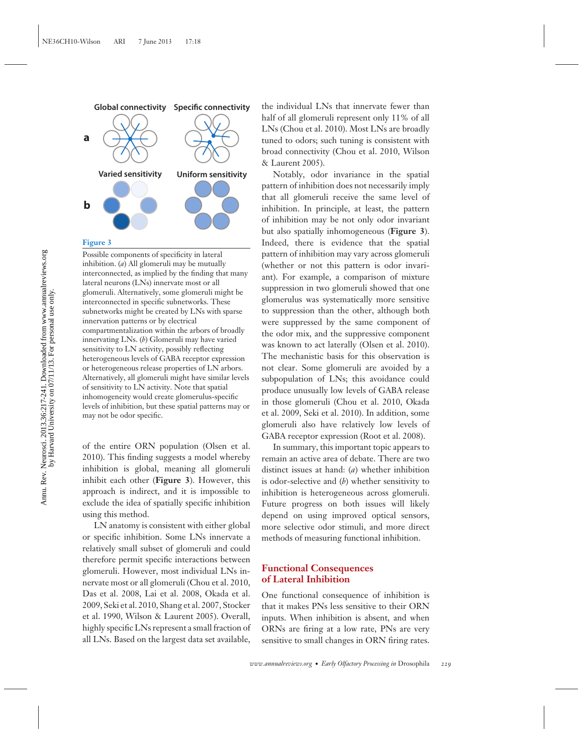

#### **Figure 3**

Possible components of specificity in lateral inhibition. (*a*) All glomeruli may be mutually interconnected, as implied by the finding that many lateral neurons (LNs) innervate most or all glomeruli. Alternatively, some glomeruli might be interconnected in specific subnetworks. These subnetworks might be created by LNs with sparse innervation patterns or by electrical compartmentalization within the arbors of broadly innervating LNs. (*b*) Glomeruli may have varied sensitivity to LN activity, possibly reflecting heterogeneous levels of GABA receptor expression or heterogeneous release properties of LN arbors. Alternatively, all glomeruli might have similar levels of sensitivity to LN activity. Note that spatial inhomogeneity would create glomerulus-specific levels of inhibition, but these spatial patterns may or may not be odor specific.

of the entire ORN population (Olsen et al. 2010). This finding suggests a model whereby inhibition is global, meaning all glomeruli inhibit each other (**Figure 3**). However, this approach is indirect, and it is impossible to exclude the idea of spatially specific inhibition using this method.

LN anatomy is consistent with either global or specific inhibition. Some LNs innervate a relatively small subset of glomeruli and could therefore permit specific interactions between glomeruli. However, most individual LNs innervate most or all glomeruli (Chou et al. 2010, Das et al. 2008, Lai et al. 2008, Okada et al. 2009, Seki et al. 2010, Shang et al. 2007, Stocker et al. 1990, Wilson & Laurent 2005). Overall, highly specific LNs represent a small fraction of all LNs. Based on the largest data set available,

the individual LNs that innervate fewer than half of all glomeruli represent only 11% of all LNs (Chou et al. 2010). Most LNs are broadly tuned to odors; such tuning is consistent with broad connectivity (Chou et al. 2010, Wilson & Laurent 2005).

Notably, odor invariance in the spatial pattern of inhibition does not necessarily imply that all glomeruli receive the same level of inhibition. In principle, at least, the pattern of inhibition may be not only odor invariant but also spatially inhomogeneous (**Figure 3**). Indeed, there is evidence that the spatial pattern of inhibition may vary across glomeruli (whether or not this pattern is odor invariant). For example, a comparison of mixture suppression in two glomeruli showed that one glomerulus was systematically more sensitive to suppression than the other, although both were suppressed by the same component of the odor mix, and the suppressive component was known to act laterally (Olsen et al. 2010). The mechanistic basis for this observation is not clear. Some glomeruli are avoided by a subpopulation of LNs; this avoidance could produce unusually low levels of GABA release in those glomeruli (Chou et al. 2010, Okada et al. 2009, Seki et al. 2010). In addition, some glomeruli also have relatively low levels of GABA receptor expression (Root et al. 2008).

In summary, this important topic appears to remain an active area of debate. There are two distinct issues at hand: (*a*) whether inhibition is odor-selective and (*b*) whether sensitivity to inhibition is heterogeneous across glomeruli. Future progress on both issues will likely depend on using improved optical sensors, more selective odor stimuli, and more direct methods of measuring functional inhibition.

## **Functional Consequences of Lateral Inhibition**

One functional consequence of inhibition is that it makes PNs less sensitive to their ORN inputs. When inhibition is absent, and when ORNs are firing at a low rate, PNs are very sensitive to small changes in ORN firing rates.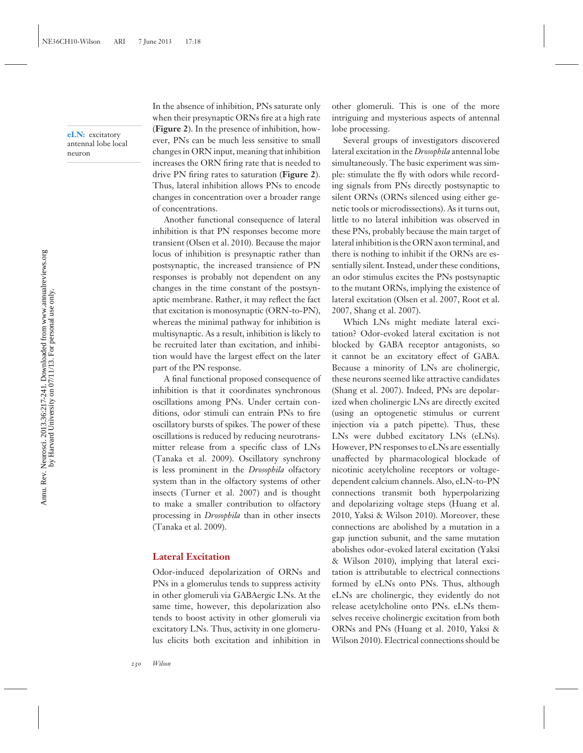**eLN:** excitatory antennal lobe local neuron

In the absence of inhibition, PNs saturate only when their presynaptic ORNs fire at a high rate (**Figure 2**). In the presence of inhibition, however, PNs can be much less sensitive to small changes in ORN input, meaning that inhibition increases the ORN firing rate that is needed to drive PN firing rates to saturation (**Figure 2**). Thus, lateral inhibition allows PNs to encode changes in concentration over a broader range of concentrations.

Another functional consequence of lateral inhibition is that PN responses become more transient (Olsen et al. 2010). Because the major locus of inhibition is presynaptic rather than postsynaptic, the increased transience of PN responses is probably not dependent on any changes in the time constant of the postsynaptic membrane. Rather, it may reflect the fact that excitation is monosynaptic (ORN-to-PN), whereas the minimal pathway for inhibition is multisynaptic. As a result, inhibition is likely to be recruited later than excitation, and inhibition would have the largest effect on the later part of the PN response.

A final functional proposed consequence of inhibition is that it coordinates synchronous oscillations among PNs. Under certain conditions, odor stimuli can entrain PNs to fire oscillatory bursts of spikes. The power of these oscillations is reduced by reducing neurotransmitter release from a specific class of LNs (Tanaka et al. 2009). Oscillatory synchrony is less prominent in the *Drosophila* olfactory system than in the olfactory systems of other insects (Turner et al. 2007) and is thought to make a smaller contribution to olfactory processing in *Drosophila* than in other insects (Tanaka et al. 2009).

## **Lateral Excitation**

Odor-induced depolarization of ORNs and PNs in a glomerulus tends to suppress activity in other glomeruli via GABAergic LNs. At the same time, however, this depolarization also tends to boost activity in other glomeruli via excitatory LNs. Thus, activity in one glomerulus elicits both excitation and inhibition in

other glomeruli. This is one of the more intriguing and mysterious aspects of antennal lobe processing.

Several groups of investigators discovered lateral excitation in the *Drosophila* antennal lobe simultaneously. The basic experiment was simple: stimulate the fly with odors while recording signals from PNs directly postsynaptic to silent ORNs (ORNs silenced using either genetic tools or microdissections). As it turns out, little to no lateral inhibition was observed in these PNs, probably because the main target of lateral inhibition is the ORN axon terminal, and there is nothing to inhibit if the ORNs are essentially silent. Instead, under these conditions, an odor stimulus excites the PNs postsynaptic to the mutant ORNs, implying the existence of lateral excitation (Olsen et al. 2007, Root et al. 2007, Shang et al. 2007).

Which LNs might mediate lateral excitation? Odor-evoked lateral excitation is not blocked by GABA receptor antagonists, so it cannot be an excitatory effect of GABA. Because a minority of LNs are cholinergic, these neurons seemed like attractive candidates (Shang et al. 2007). Indeed, PNs are depolarized when cholinergic LNs are directly excited (using an optogenetic stimulus or current injection via a patch pipette). Thus, these LNs were dubbed excitatory LNs (eLNs). However, PN responses to eLNs are essentially unaffected by pharmacological blockade of nicotinic acetylcholine receptors or voltagedependent calcium channels. Also, eLN-to-PN connections transmit both hyperpolarizing and depolarizing voltage steps (Huang et al. 2010, Yaksi & Wilson 2010). Moreover, these connections are abolished by a mutation in a gap junction subunit, and the same mutation abolishes odor-evoked lateral excitation (Yaksi & Wilson 2010), implying that lateral excitation is attributable to electrical connections formed by eLNs onto PNs. Thus, although eLNs are cholinergic, they evidently do not release acetylcholine onto PNs. eLNs themselves receive cholinergic excitation from both ORNs and PNs (Huang et al. 2010, Yaksi & Wilson 2010). Electrical connections should be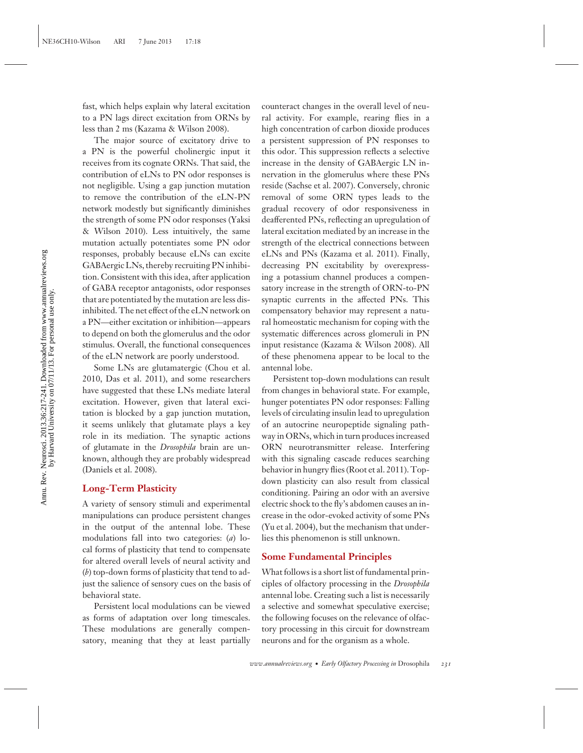fast, which helps explain why lateral excitation to a PN lags direct excitation from ORNs by less than 2 ms (Kazama & Wilson 2008).

The major source of excitatory drive to a PN is the powerful cholinergic input it receives from its cognate ORNs. That said, the contribution of eLNs to PN odor responses is not negligible. Using a gap junction mutation to remove the contribution of the eLN-PN network modestly but significantly diminishes the strength of some PN odor responses (Yaksi & Wilson 2010). Less intuitively, the same mutation actually potentiates some PN odor responses, probably because eLNs can excite GABAergic LNs, thereby recruiting PN inhibition. Consistent with this idea, after application of GABA receptor antagonists, odor responses that are potentiated by the mutation are less disinhibited. The net effect of the eLN network on a PN—either excitation or inhibition—appears to depend on both the glomerulus and the odor stimulus. Overall, the functional consequences of the eLN network are poorly understood.

Some LNs are glutamatergic (Chou et al. 2010, Das et al. 2011), and some researchers have suggested that these LNs mediate lateral excitation. However, given that lateral excitation is blocked by a gap junction mutation, it seems unlikely that glutamate plays a key role in its mediation. The synaptic actions of glutamate in the *Drosophila* brain are unknown, although they are probably widespread (Daniels et al. 2008).

#### **Long-Term Plasticity**

A variety of sensory stimuli and experimental manipulations can produce persistent changes in the output of the antennal lobe. These modulations fall into two categories: (*a*) local forms of plasticity that tend to compensate for altered overall levels of neural activity and (*b*) top-down forms of plasticity that tend to adjust the salience of sensory cues on the basis of behavioral state.

Persistent local modulations can be viewed as forms of adaptation over long timescales. These modulations are generally compensatory, meaning that they at least partially

counteract changes in the overall level of neural activity. For example, rearing flies in a high concentration of carbon dioxide produces a persistent suppression of PN responses to this odor. This suppression reflects a selective increase in the density of GABAergic LN innervation in the glomerulus where these PNs reside (Sachse et al. 2007). Conversely, chronic removal of some ORN types leads to the gradual recovery of odor responsiveness in deafferented PNs, reflecting an upregulation of lateral excitation mediated by an increase in the strength of the electrical connections between eLNs and PNs (Kazama et al. 2011). Finally, decreasing PN excitability by overexpressing a potassium channel produces a compensatory increase in the strength of ORN-to-PN synaptic currents in the affected PNs. This compensatory behavior may represent a natural homeostatic mechanism for coping with the systematic differences across glomeruli in PN input resistance (Kazama & Wilson 2008). All of these phenomena appear to be local to the antennal lobe.

Persistent top-down modulations can result from changes in behavioral state. For example, hunger potentiates PN odor responses: Falling levels of circulating insulin lead to upregulation of an autocrine neuropeptide signaling pathway in ORNs, which in turn produces increased ORN neurotransmitter release. Interfering with this signaling cascade reduces searching behavior in hungry flies (Root et al. 2011). Topdown plasticity can also result from classical conditioning. Pairing an odor with an aversive electric shock to the fly's abdomen causes an increase in the odor-evoked activity of some PNs (Yu et al. 2004), but the mechanism that underlies this phenomenon is still unknown.

## **Some Fundamental Principles**

What follows is a short list of fundamental principles of olfactory processing in the *Drosophila* antennal lobe. Creating such a list is necessarily a selective and somewhat speculative exercise; the following focuses on the relevance of olfactory processing in this circuit for downstream neurons and for the organism as a whole.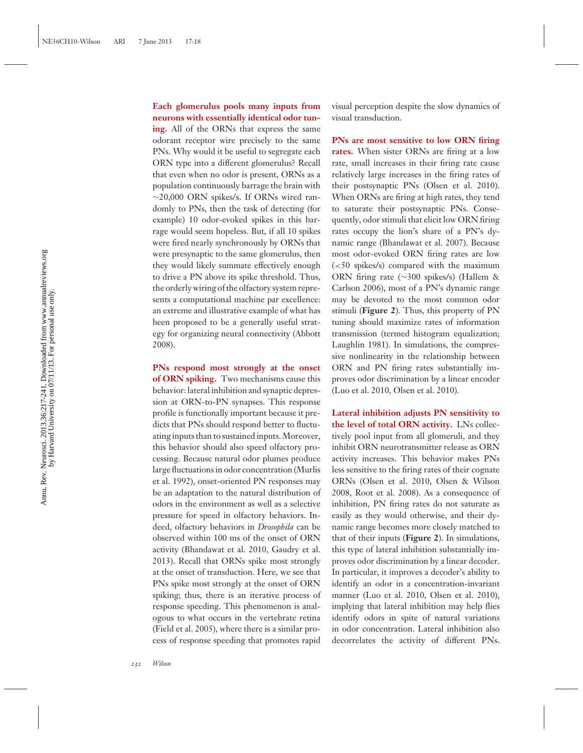**Each glomerulus pools many inputs from neurons with essentially identical odor tuning.** All of the ORNs that express the same odorant receptor wire precisely to the same PNs. Why would it be useful to segregate each ORN type into a different glomerulus? Recall that even when no odor is present, ORNs as a population continuously barrage the brain with ∼20,000 ORN spikes/s. If ORNs wired randomly to PNs, then the task of detecting (for example) 10 odor-evoked spikes in this barrage would seem hopeless. But, if all 10 spikes were fired nearly synchronously by ORNs that were presynaptic to the same glomerulus, then they would likely summate effectively enough to drive a PN above its spike threshold. Thus, the orderly wiring of the olfactory system represents a computational machine par excellence: an extreme and illustrative example of what has been proposed to be a generally useful strategy for organizing neural connectivity (Abbott 2008).

**PNs respond most strongly at the onset of ORN spiking.** Two mechanisms cause this behavior: lateral inhibition and synaptic depression at ORN-to-PN synapses. This response profile is functionally important because it predicts that PNs should respond better to fluctuating inputs than to sustained inputs.Moreover, this behavior should also speed olfactory processing. Because natural odor plumes produce large fluctuations in odor concentration (Murlis et al. 1992), onset-oriented PN responses may be an adaptation to the natural distribution of odors in the environment as well as a selective pressure for speed in olfactory behaviors. Indeed, olfactory behaviors in *Drosophila* can be observed within 100 ms of the onset of ORN activity (Bhandawat et al. 2010, Gaudry et al. 2013). Recall that ORNs spike most strongly at the onset of transduction. Here, we see that PNs spike most strongly at the onset of ORN spiking; thus, there is an iterative process of response speeding. This phenomenon is analogous to what occurs in the vertebrate retina (Field et al. 2005), where there is a similar process of response speeding that promotes rapid

visual perception despite the slow dynamics of visual transduction.

**PNs are most sensitive to low ORN firing rates.** When sister ORNs are firing at a low rate, small increases in their firing rate cause relatively large increases in the firing rates of their postsynaptic PNs (Olsen et al. 2010). When ORNs are firing at high rates, they tend to saturate their postsynaptic PNs. Consequently, odor stimuli that elicit low ORN firing rates occupy the lion's share of a PN's dynamic range (Bhandawat et al. 2007). Because most odor-evoked ORN firing rates are low (<50 spikes/s) compared with the maximum ORN firing rate (∼300 spikes/s) (Hallem & Carlson 2006), most of a PN's dynamic range may be devoted to the most common odor stimuli (**Figure 2**). Thus, this property of PN tuning should maximize rates of information transmission (termed histogram equalization; Laughlin 1981). In simulations, the compressive nonlinearity in the relationship between ORN and PN firing rates substantially improves odor discrimination by a linear encoder (Luo et al. 2010, Olsen et al. 2010).

**Lateral inhibition adjusts PN sensitivity to the level of total ORN activity.** LNs collectively pool input from all glomeruli, and they inhibit ORN neurotransmitter release as ORN activity increases. This behavior makes PNs less sensitive to the firing rates of their cognate ORNs (Olsen et al. 2010, Olsen & Wilson 2008, Root et al. 2008). As a consequence of inhibition, PN firing rates do not saturate as easily as they would otherwise, and their dynamic range becomes more closely matched to that of their inputs (**Figure 2**). In simulations, this type of lateral inhibition substantially improves odor discrimination by a linear decoder. In particular, it improves a decoder's ability to identify an odor in a concentration-invariant manner (Luo et al. 2010, Olsen et al. 2010), implying that lateral inhibition may help flies identify odors in spite of natural variations in odor concentration. Lateral inhibition also decorrelates the activity of different PNs.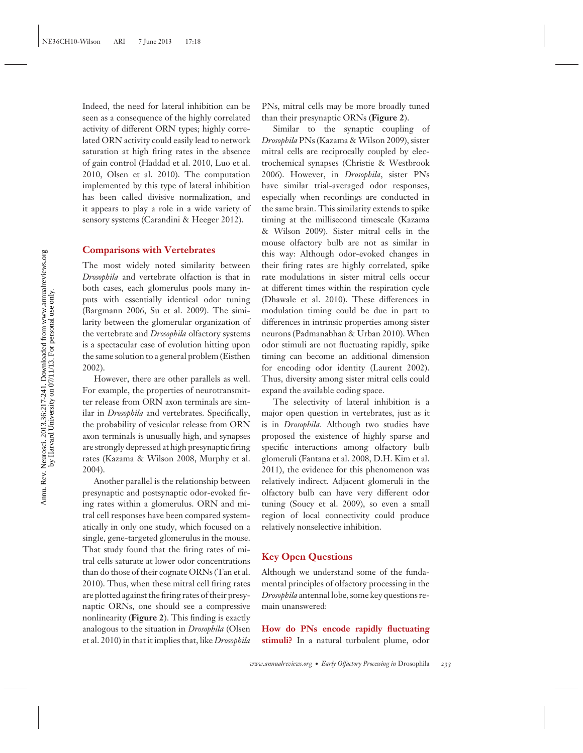Indeed, the need for lateral inhibition can be seen as a consequence of the highly correlated activity of different ORN types; highly correlated ORN activity could easily lead to network saturation at high firing rates in the absence of gain control (Haddad et al. 2010, Luo et al. 2010, Olsen et al. 2010). The computation implemented by this type of lateral inhibition has been called divisive normalization, and it appears to play a role in a wide variety of sensory systems (Carandini & Heeger 2012).

#### **Comparisons with Vertebrates**

The most widely noted similarity between *Drosophila* and vertebrate olfaction is that in both cases, each glomerulus pools many inputs with essentially identical odor tuning (Bargmann 2006, Su et al. 2009). The similarity between the glomerular organization of the vertebrate and *Drosophila* olfactory systems is a spectacular case of evolution hitting upon the same solution to a general problem (Eisthen 2002).

However, there are other parallels as well. For example, the properties of neurotransmitter release from ORN axon terminals are similar in *Drosophila* and vertebrates. Specifically, the probability of vesicular release from ORN axon terminals is unusually high, and synapses are strongly depressed at high presynaptic firing rates (Kazama & Wilson 2008, Murphy et al. 2004).

Another parallel is the relationship between presynaptic and postsynaptic odor-evoked firing rates within a glomerulus. ORN and mitral cell responses have been compared systematically in only one study, which focused on a single, gene-targeted glomerulus in the mouse. That study found that the firing rates of mitral cells saturate at lower odor concentrations than do those of their cognate ORNs (Tan et al. 2010). Thus, when these mitral cell firing rates are plotted against the firing rates of their presynaptic ORNs, one should see a compressive nonlinearity (**Figure 2**). This finding is exactly analogous to the situation in *Drosophila* (Olsen et al. 2010) in that it implies that, like *Drosophila* PNs, mitral cells may be more broadly tuned than their presynaptic ORNs (**Figure 2**).

Similar to the synaptic coupling of *Drosophila* PNs (Kazama & Wilson 2009), sister mitral cells are reciprocally coupled by electrochemical synapses (Christie & Westbrook 2006). However, in *Drosophila*, sister PNs have similar trial-averaged odor responses, especially when recordings are conducted in the same brain. This similarity extends to spike timing at the millisecond timescale (Kazama & Wilson 2009). Sister mitral cells in the mouse olfactory bulb are not as similar in this way: Although odor-evoked changes in their firing rates are highly correlated, spike rate modulations in sister mitral cells occur at different times within the respiration cycle (Dhawale et al. 2010). These differences in modulation timing could be due in part to differences in intrinsic properties among sister neurons (Padmanabhan & Urban 2010). When odor stimuli are not fluctuating rapidly, spike timing can become an additional dimension for encoding odor identity (Laurent 2002). Thus, diversity among sister mitral cells could expand the available coding space.

The selectivity of lateral inhibition is a major open question in vertebrates, just as it is in *Drosophila*. Although two studies have proposed the existence of highly sparse and specific interactions among olfactory bulb glomeruli (Fantana et al. 2008, D.H. Kim et al. 2011), the evidence for this phenomenon was relatively indirect. Adjacent glomeruli in the olfactory bulb can have very different odor tuning (Soucy et al. 2009), so even a small region of local connectivity could produce relatively nonselective inhibition.

## **Key Open Questions**

Although we understand some of the fundamental principles of olfactory processing in the *Drosophila* antennal lobe, some key questions remain unanswered:

**How do PNs encode rapidly fluctuating stimuli?** In a natural turbulent plume, odor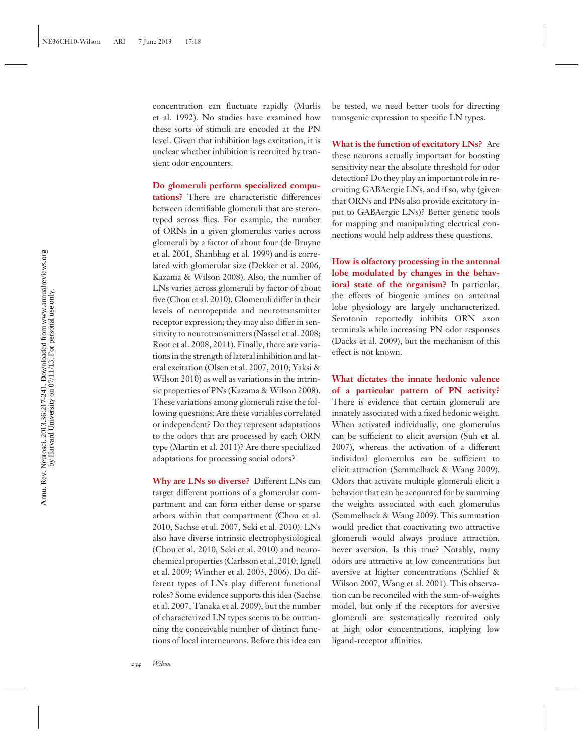concentration can fluctuate rapidly (Murlis et al. 1992). No studies have examined how these sorts of stimuli are encoded at the PN level. Given that inhibition lags excitation, it is unclear whether inhibition is recruited by transient odor encounters.

**Do glomeruli perform specialized compu-**

**tations?** There are characteristic differences between identifiable glomeruli that are stereotyped across flies. For example, the number of ORNs in a given glomerulus varies across glomeruli by a factor of about four (de Bruyne et al. 2001, Shanbhag et al. 1999) and is correlated with glomerular size (Dekker et al. 2006, Kazama & Wilson 2008). Also, the number of LNs varies across glomeruli by factor of about five (Chou et al. 2010). Glomeruli differ in their levels of neuropeptide and neurotransmitter receptor expression; they may also differ in sensitivity to neurotransmitters (Nassel et al. 2008; Root et al. 2008, 2011). Finally, there are variations in the strength of lateral inhibition and lateral excitation (Olsen et al. 2007, 2010; Yaksi & Wilson 2010) as well as variations in the intrinsic properties of PNs (Kazama & Wilson 2008). These variations among glomeruli raise the following questions: Are these variables correlated or independent? Do they represent adaptations to the odors that are processed by each ORN type (Martin et al. 2011)? Are there specialized adaptations for processing social odors?

**Why are LNs so diverse?** Different LNs can target different portions of a glomerular compartment and can form either dense or sparse arbors within that compartment (Chou et al. 2010, Sachse et al. 2007, Seki et al. 2010). LNs also have diverse intrinsic electrophysiological (Chou et al. 2010, Seki et al. 2010) and neurochemical properties (Carlsson et al. 2010; Ignell et al. 2009; Winther et al. 2003, 2006). Do different types of LNs play different functional roles? Some evidence supports this idea (Sachse et al. 2007, Tanaka et al. 2009), but the number of characterized LN types seems to be outrunning the conceivable number of distinct functions of local interneurons. Before this idea can

be tested, we need better tools for directing transgenic expression to specific LN types.

**What is the function of excitatory LNs?** Are these neurons actually important for boosting sensitivity near the absolute threshold for odor detection? Do they play an important role in recruiting GABAergic LNs, and if so, why (given that ORNs and PNs also provide excitatory input to GABAergic LNs)? Better genetic tools for mapping and manipulating electrical connections would help address these questions.

**How is olfactory processing in the antennal lobe modulated by changes in the behavioral state of the organism?** In particular, the effects of biogenic amines on antennal lobe physiology are largely uncharacterized. Serotonin reportedly inhibits ORN axon terminals while increasing PN odor responses (Dacks et al. 2009), but the mechanism of this effect is not known.

**What dictates the innate hedonic valence of a particular pattern of PN activity?** There is evidence that certain glomeruli are innately associated with a fixed hedonic weight. When activated individually, one glomerulus can be sufficient to elicit aversion (Suh et al. 2007), whereas the activation of a different individual glomerulus can be sufficient to elicit attraction (Semmelhack & Wang 2009). Odors that activate multiple glomeruli elicit a behavior that can be accounted for by summing the weights associated with each glomerulus (Semmelhack & Wang 2009). This summation would predict that coactivating two attractive glomeruli would always produce attraction, never aversion. Is this true? Notably, many odors are attractive at low concentrations but aversive at higher concentrations (Schlief & Wilson 2007, Wang et al. 2001). This observation can be reconciled with the sum-of-weights model, but only if the receptors for aversive glomeruli are systematically recruited only at high odor concentrations, implying low ligand-receptor affinities.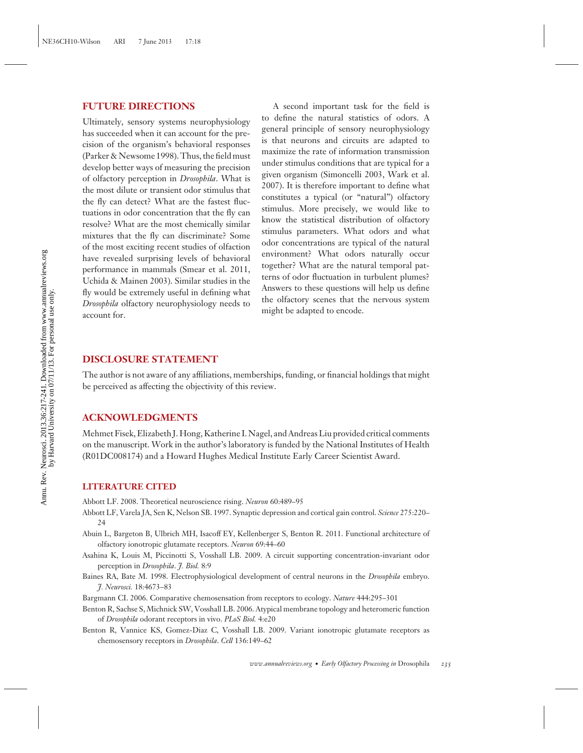## **FUTURE DIRECTIONS**

Ultimately, sensory systems neurophysiology has succeeded when it can account for the precision of the organism's behavioral responses (Parker & Newsome 1998). Thus, the field must develop better ways of measuring the precision of olfactory perception in *Drosophila*. What is the most dilute or transient odor stimulus that the fly can detect? What are the fastest fluctuations in odor concentration that the fly can resolve? What are the most chemically similar mixtures that the fly can discriminate? Some of the most exciting recent studies of olfaction have revealed surprising levels of behavioral performance in mammals (Smear et al. 2011, Uchida & Mainen 2003). Similar studies in the fly would be extremely useful in defining what *Drosophila* olfactory neurophysiology needs to account for.

A second important task for the field is to define the natural statistics of odors. A general principle of sensory neurophysiology is that neurons and circuits are adapted to maximize the rate of information transmission under stimulus conditions that are typical for a given organism (Simoncelli 2003, Wark et al. 2007). It is therefore important to define what constitutes a typical (or "natural") olfactory stimulus. More precisely, we would like to know the statistical distribution of olfactory stimulus parameters. What odors and what odor concentrations are typical of the natural environment? What odors naturally occur together? What are the natural temporal patterns of odor fluctuation in turbulent plumes? Answers to these questions will help us define the olfactory scenes that the nervous system might be adapted to encode.

## **DISCLOSURE STATEMENT**

The author is not aware of any affiliations, memberships, funding, or financial holdings that might be perceived as affecting the objectivity of this review.

## **ACKNOWLEDGMENTS**

Mehmet Fisek, Elizabeth J. Hong, Katherine I. Nagel, and Andreas Liu provided critical comments on the manuscript. Work in the author's laboratory is funded by the National Institutes of Health (R01DC008174) and a Howard Hughes Medical Institute Early Career Scientist Award.

#### **LITERATURE CITED**

Abbott LF. 2008. Theoretical neuroscience rising. *Neuron* 60:489–95

- Abbott LF, Varela JA, Sen K, Nelson SB. 1997. Synaptic depression and cortical gain control. *Science* 275:220– 24
- Abuin L, Bargeton B, Ulbrich MH, Isacoff EY, Kellenberger S, Benton R. 2011. Functional architecture of olfactory ionotropic glutamate receptors. *Neuron* 69:44–60
- Asahina K, Louis M, Piccinotti S, Vosshall LB. 2009. A circuit supporting concentration-invariant odor perception in *Drosophila*. *J. Biol.* 8:9
- Baines RA, Bate M. 1998. Electrophysiological development of central neurons in the *Drosophila* embryo. *J. Neurosci.* 18:4673–83

Bargmann CI. 2006. Comparative chemosensation from receptors to ecology. *Nature* 444:295–301

- Benton R, Sachse S, Michnick SW, Vosshall LB. 2006. Atypical membrane topology and heteromeric function of *Drosophila* odorant receptors in vivo. *PLoS Biol.* 4:e20
- Benton R, Vannice KS, Gomez-Diaz C, Vosshall LB. 2009. Variant ionotropic glutamate receptors as chemosensory receptors in *Drosophila*. *Cell* 136:149–62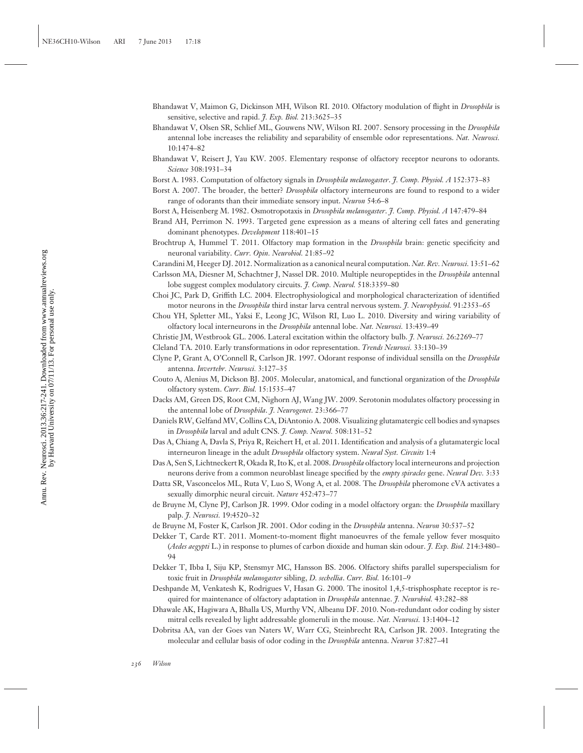- Bhandawat V, Maimon G, Dickinson MH, Wilson RI. 2010. Olfactory modulation of flight in *Drosophila* is sensitive, selective and rapid. *J. Exp. Biol.* 213:3625–35
- Bhandawat V, Olsen SR, Schlief ML, Gouwens NW, Wilson RI. 2007. Sensory processing in the *Drosophila* antennal lobe increases the reliability and separability of ensemble odor representations. *Nat. Neurosci.* 10:1474–82
- Bhandawat V, Reisert J, Yau KW. 2005. Elementary response of olfactory receptor neurons to odorants. *Science* 308:1931–34
- Borst A. 1983. Computation of olfactory signals in *Drosophila melanogaster*. *J. Comp. Physiol. A* 152:373–83
- Borst A. 2007. The broader, the better? *Drosophila* olfactory interneurons are found to respond to a wider range of odorants than their immediate sensory input. *Neuron* 54:6–8
- Borst A, Heisenberg M. 1982. Osmotropotaxis in *Drosophila melanogaster*. *J. Comp. Physiol. A* 147:479–84
- Brand AH, Perrimon N. 1993. Targeted gene expression as a means of altering cell fates and generating dominant phenotypes. *Development* 118:401–15
- Brochtrup A, Hummel T. 2011. Olfactory map formation in the *Drosophila* brain: genetic specificity and neuronal variability. *Curr. Opin. Neurobiol.* 21:85–92
- Carandini M, Heeger DJ. 2012. Normalization as a canonical neural computation. *Nat. Rev. Neurosci.* 13:51–62
- Carlsson MA, Diesner M, Schachtner J, Nassel DR. 2010. Multiple neuropeptides in the *Drosophila* antennal lobe suggest complex modulatory circuits. *J. Comp. Neurol.* 518:3359–80
- Choi JC, Park D, Griffith LC. 2004. Electrophysiological and morphological characterization of identified motor neurons in the *Drosophila* third instar larva central nervous system. *J. Neurophysiol.* 91:2353–65
- Chou YH, Spletter ML, Yaksi E, Leong JC, Wilson RI, Luo L. 2010. Diversity and wiring variability of olfactory local interneurons in the *Drosophila* antennal lobe. *Nat. Neurosci.* 13:439–49
- Christie JM, Westbrook GL. 2006. Lateral excitation within the olfactory bulb. *J. Neurosci.* 26:2269–77
- Cleland TA. 2010. Early transformations in odor representation. *Trends Neurosci.* 33:130–39
- Clyne P, Grant A, O'Connell R, Carlson JR. 1997. Odorant response of individual sensilla on the *Drosophila* antenna. *Invertebr. Neurosci.* 3:127–35
- Couto A, Alenius M, Dickson BJ. 2005. Molecular, anatomical, and functional organization of the *Drosophila* olfactory system. *Curr. Biol.* 15:1535–47
- Dacks AM, Green DS, Root CM, Nighorn AJ, Wang JW. 2009. Serotonin modulates olfactory processing in the antennal lobe of *Drosophila*. *J. Neurogenet.* 23:366–77
- Daniels RW, Gelfand MV, Collins CA, DiAntonio A. 2008. Visualizing glutamatergic cell bodies and synapses in *Drosophila* larval and adult CNS. *J. Comp. Neurol.* 508:131–52
- Das A, Chiang A, Davla S, Priya R, Reichert H, et al. 2011. Identification and analysis of a glutamatergic local interneuron lineage in the adult *Drosophila* olfactory system. *Neural Syst. Circuits* 1:4
- Das A, Sen S, Lichtneckert R, Okada R, Ito K, et al. 2008. *Drosophila* olfactory local interneurons and projection neurons derive from a common neuroblast lineage specified by the *empty spiracles* gene. *Neural Dev.* 3:33
- Datta SR, Vasconcelos ML, Ruta V, Luo S, Wong A, et al. 2008. The *Drosophila* pheromone cVA activates a sexually dimorphic neural circuit. *Nature* 452:473–77
- de Bruyne M, Clyne PJ, Carlson JR. 1999. Odor coding in a model olfactory organ: the *Drosophila* maxillary palp. *J. Neurosci.* 19:4520–32
- de Bruyne M, Foster K, Carlson JR. 2001. Odor coding in the *Drosophila* antenna. *Neuron* 30:537–52
- Dekker T, Carde RT. 2011. Moment-to-moment flight manoeuvres of the female yellow fever mosquito (*Aedes aegypti* L.) in response to plumes of carbon dioxide and human skin odour. *J. Exp. Biol.* 214:3480– 94
- Dekker T, Ibba I, Siju KP, Stensmyr MC, Hansson BS. 2006. Olfactory shifts parallel superspecialism for toxic fruit in *Drosophila melanogaster* sibling, *D. sechellia*. *Curr. Biol.* 16:101–9
- Deshpande M, Venkatesh K, Rodrigues V, Hasan G. 2000. The inositol 1,4,5-trisphosphate receptor is required for maintenance of olfactory adaptation in *Drosophila* antennae. *J. Neurobiol.* 43:282–88
- Dhawale AK, Hagiwara A, Bhalla US, Murthy VN, Albeanu DF. 2010. Non-redundant odor coding by sister mitral cells revealed by light addressable glomeruli in the mouse. *Nat. Neurosci.* 13:1404–12
- Dobritsa AA, van der Goes van Naters W, Warr CG, Steinbrecht RA, Carlson JR. 2003. Integrating the molecular and cellular basis of odor coding in the *Drosophila* antenna. *Neuron* 37:827–41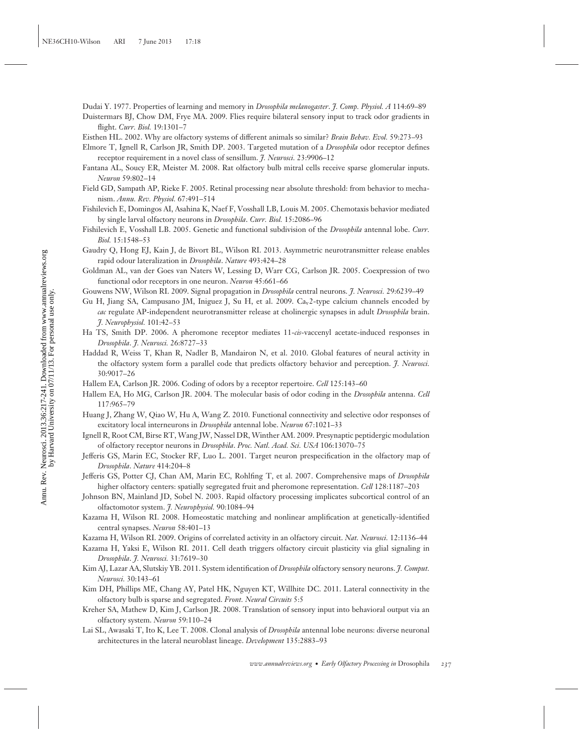Dudai Y. 1977. Properties of learning and memory in *Drosophila melanogaster*. *J. Comp. Physiol. A* 114:69–89

- Duistermars BJ, Chow DM, Frye MA. 2009. Flies require bilateral sensory input to track odor gradients in flight. *Curr. Biol.* 19:1301–7
- Eisthen HL. 2002. Why are olfactory systems of different animals so similar? *Brain Behav. Evol.* 59:273–93
- Elmore T, Ignell R, Carlson JR, Smith DP. 2003. Targeted mutation of a *Drosophila* odor receptor defines receptor requirement in a novel class of sensillum. *J. Neurosci.* 23:9906–12
- Fantana AL, Soucy ER, Meister M. 2008. Rat olfactory bulb mitral cells receive sparse glomerular inputs. *Neuron* 59:802–14
- Field GD, Sampath AP, Rieke F. 2005. Retinal processing near absolute threshold: from behavior to mechanism. *Annu. Rev. Physiol.* 67:491–514
- Fishilevich E, Domingos AI, Asahina K, Naef F, Vosshall LB, Louis M. 2005. Chemotaxis behavior mediated by single larval olfactory neurons in *Drosophila*. *Curr. Biol.* 15:2086–96
- Fishilevich E, Vosshall LB. 2005. Genetic and functional subdivision of the *Drosophila* antennal lobe. *Curr. Biol.* 15:1548–53
- Gaudry Q, Hong EJ, Kain J, de Bivort BL, Wilson RI. 2013. Asymmetric neurotransmitter release enables rapid odour lateralization in *Drosophila*. *Nature* 493:424–28
- Goldman AL, van der Goes van Naters W, Lessing D, Warr CG, Carlson JR. 2005. Coexpression of two functional odor receptors in one neuron. *Neuron* 45:661–66
- Gouwens NW, Wilson RI. 2009. Signal propagation in *Drosophila* central neurons. *J. Neurosci.* 29:6239–49
- Gu H, Jiang SA, Campusano JM, Iniguez J, Su H, et al. 2009. Cav2-type calcium channels encoded by *cac* regulate AP-independent neurotransmitter release at cholinergic synapses in adult *Drosophila* brain. *J. Neurophysiol.* 101:42–53
- Ha TS, Smith DP. 2006. A pheromone receptor mediates 11-*cis*-vaccenyl acetate-induced responses in *Drosophila*. *J. Neurosci.* 26:8727–33
- Haddad R, Weiss T, Khan R, Nadler B, Mandairon N, et al. 2010. Global features of neural activity in the olfactory system form a parallel code that predicts olfactory behavior and perception. *J. Neurosci.* 30:9017–26
- Hallem EA, Carlson JR. 2006. Coding of odors by a receptor repertoire. *Cell* 125:143–60
- Hallem EA, Ho MG, Carlson JR. 2004. The molecular basis of odor coding in the *Drosophila* antenna. *Cell* 117:965–79
- Huang J, Zhang W, Qiao W, Hu A, Wang Z. 2010. Functional connectivity and selective odor responses of excitatory local interneurons in *Drosophila* antennal lobe. *Neuron* 67:1021–33
- Ignell R, Root CM, Birse RT, Wang JW, Nassel DR, Winther AM. 2009. Presynaptic peptidergic modulation of olfactory receptor neurons in *Drosophila*. *Proc. Natl. Acad. Sci. USA* 106:13070–75
- Jefferis GS, Marin EC, Stocker RF, Luo L. 2001. Target neuron prespecification in the olfactory map of *Drosophila*. *Nature* 414:204–8
- Jefferis GS, Potter CJ, Chan AM, Marin EC, Rohlfing T, et al. 2007. Comprehensive maps of *Drosophila* higher olfactory centers: spatially segregated fruit and pheromone representation. *Cell* 128:1187–203
- Johnson BN, Mainland JD, Sobel N. 2003. Rapid olfactory processing implicates subcortical control of an olfactomotor system. *J. Neurophysiol.* 90:1084–94
- Kazama H, Wilson RI. 2008. Homeostatic matching and nonlinear amplification at genetically-identified central synapses. *Neuron* 58:401–13

Kazama H, Wilson RI. 2009. Origins of correlated activity in an olfactory circuit. *Nat. Neurosci.* 12:1136–44

- Kazama H, Yaksi E, Wilson RI. 2011. Cell death triggers olfactory circuit plasticity via glial signaling in *Drosophila*. *J. Neurosci.* 31:7619–30
- Kim AJ, Lazar AA, Slutskiy YB. 2011. System identification of *Drosophila* olfactory sensory neurons. *J. Comput. Neurosci.* 30:143–61
- Kim DH, Phillips ME, Chang AY, Patel HK, Nguyen KT, Willhite DC. 2011. Lateral connectivity in the olfactory bulb is sparse and segregated. *Front. Neural Circuits* 5:5
- Kreher SA, Mathew D, Kim J, Carlson JR. 2008. Translation of sensory input into behavioral output via an olfactory system. *Neuron* 59:110–24
- Lai SL, Awasaki T, Ito K, Lee T. 2008. Clonal analysis of *Drosophila* antennal lobe neurons: diverse neuronal architectures in the lateral neuroblast lineage. *Development* 135:2883–93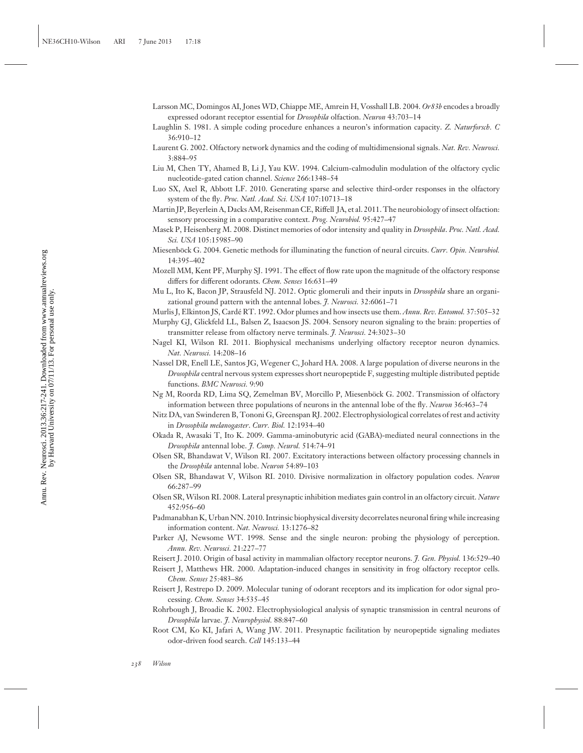- Larsson MC, Domingos AI, Jones WD, Chiappe ME, Amrein H, Vosshall LB. 2004. *Or83b* encodes a broadly expressed odorant receptor essential for *Drosophila* olfaction. *Neuron* 43:703–14
- Laughlin S. 1981. A simple coding procedure enhances a neuron's information capacity. *Z. Naturforsch. C* 36:910–12
- Laurent G. 2002. Olfactory network dynamics and the coding of multidimensional signals. *Nat. Rev. Neurosci.* 3:884–95
- Liu M, Chen TY, Ahamed B, Li J, Yau KW. 1994. Calcium-calmodulin modulation of the olfactory cyclic nucleotide-gated cation channel. *Science* 266:1348–54
- Luo SX, Axel R, Abbott LF. 2010. Generating sparse and selective third-order responses in the olfactory system of the fly. *Proc. Natl. Acad. Sci. USA* 107:10713–18
- Martin JP, Beyerlein A, Dacks AM, Reisenman CE, Riffell JA, et al. 2011. The neurobiology of insect olfaction: sensory processing in a comparative context. *Prog. Neurobiol.* 95:427–47
- Masek P, Heisenberg M. 2008. Distinct memories of odor intensity and quality in *Drosophila*. *Proc. Natl. Acad. Sci. USA* 105:15985–90
- Miesenböck G. 2004. Genetic methods for illuminating the function of neural circuits. *Curr. Opin. Neurobiol.* 14:395–402
- Mozell MM, Kent PF, Murphy SJ. 1991. The effect of flow rate upon the magnitude of the olfactory response differs for different odorants. *Chem. Senses* 16:631–49
- Mu L, Ito K, Bacon JP, Strausfeld NJ. 2012. Optic glomeruli and their inputs in *Drosophila* share an organizational ground pattern with the antennal lobes. *J. Neurosci.* 32:6061–71
- Murlis J, Elkinton JS, Cardé RT. 1992. Odor plumes and how insects use them. Annu. Rev. Entomol. 37:505-32
- Murphy GJ, Glickfeld LL, Balsen Z, Isaacson JS. 2004. Sensory neuron signaling to the brain: properties of transmitter release from olfactory nerve terminals. *J. Neurosci.* 24:3023–30
- Nagel KI, Wilson RI. 2011. Biophysical mechanisms underlying olfactory receptor neuron dynamics. *Nat. Neurosci.* 14:208–16
- Nassel DR, Enell LE, Santos JG, Wegener C, Johard HA. 2008. A large population of diverse neurons in the *Drosophila* central nervous system expresses short neuropeptide F, suggesting multiple distributed peptide functions. *BMC Neurosci.* 9:90
- Ng M, Roorda RD, Lima SO, Zemelman BV, Morcillo P, Miesenböck G. 2002. Transmission of olfactory information between three populations of neurons in the antennal lobe of the fly. *Neuron* 36:463–74
- Nitz DA, van Swinderen B, Tononi G, Greenspan RJ. 2002. Electrophysiological correlates of rest and activity in *Drosophila melanogaster*. *Curr. Biol.* 12:1934–40
- Okada R, Awasaki T, Ito K. 2009. Gamma-aminobutyric acid (GABA)-mediated neural connections in the *Drosophila* antennal lobe. *J. Comp. Neurol.* 514:74–91
- Olsen SR, Bhandawat V, Wilson RI. 2007. Excitatory interactions between olfactory processing channels in the *Drosophila* antennal lobe. *Neuron* 54:89–103
- Olsen SR, Bhandawat V, Wilson RI. 2010. Divisive normalization in olfactory population codes. *Neuron* 66:287–99
- Olsen SR, Wilson RI. 2008. Lateral presynaptic inhibition mediates gain control in an olfactory circuit. *Nature* 452:956–60
- Padmanabhan K, Urban NN. 2010. Intrinsic biophysical diversity decorrelates neuronal firing while increasing information content. *Nat. Neurosci.* 13:1276–82
- Parker AJ, Newsome WT. 1998. Sense and the single neuron: probing the physiology of perception. *Annu. Rev. Neurosci.* 21:227–77
- Reisert J. 2010. Origin of basal activity in mammalian olfactory receptor neurons. *J. Gen. Physiol.* 136:529–40
- Reisert J, Matthews HR. 2000. Adaptation-induced changes in sensitivity in frog olfactory receptor cells. *Chem. Senses* 25:483–86
- Reisert J, Restrepo D. 2009. Molecular tuning of odorant receptors and its implication for odor signal processing. *Chem. Senses* 34:535–45
- Rohrbough J, Broadie K. 2002. Electrophysiological analysis of synaptic transmission in central neurons of *Drosophila* larvae. *J. Neurophysiol.* 88:847–60
- Root CM, Ko KI, Jafari A, Wang JW. 2011. Presynaptic facilitation by neuropeptide signaling mediates odor-driven food search. *Cell* 145:133–44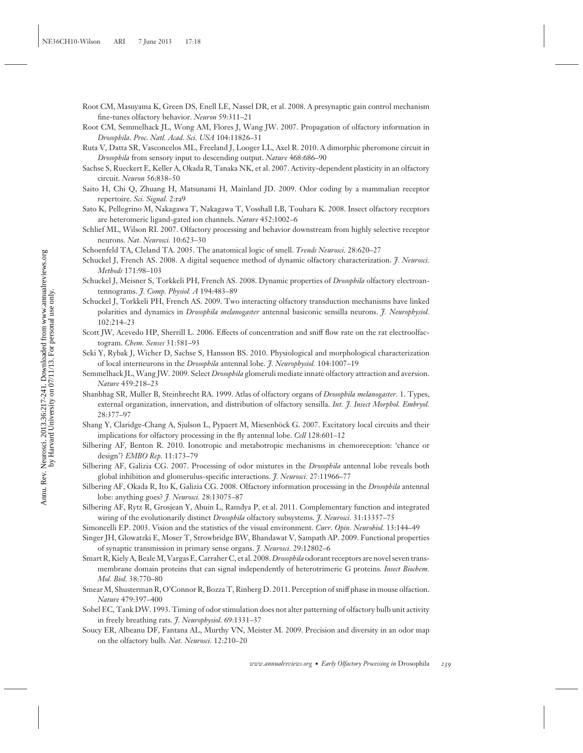- Root CM, Masuyama K, Green DS, Enell LE, Nassel DR, et al. 2008. A presynaptic gain control mechanism fine-tunes olfactory behavior. *Neuron* 59:311–21
- Root CM, Semmelhack JL, Wong AM, Flores J, Wang JW. 2007. Propagation of olfactory information in *Drosophila*. *Proc. Natl. Acad. Sci. USA* 104:11826–31
- Ruta V, Datta SR, Vasconcelos ML, Freeland J, Looger LL, Axel R. 2010. A dimorphic pheromone circuit in *Drosophila* from sensory input to descending output. *Nature* 468:686–90
- Sachse S, Rueckert E, Keller A, Okada R, Tanaka NK, et al. 2007. Activity-dependent plasticity in an olfactory circuit. *Neuron* 56:838–50
- Saito H, Chi Q, Zhuang H, Matsunami H, Mainland JD. 2009. Odor coding by a mammalian receptor repertoire. *Sci. Signal.* 2:ra9
- Sato K, Pellegrino M, Nakagawa T, Nakagawa T, Vosshall LB, Touhara K. 2008. Insect olfactory receptors are heteromeric ligand-gated ion channels. *Nature* 452:1002–6
- Schlief ML, Wilson RI. 2007. Olfactory processing and behavior downstream from highly selective receptor neurons. *Nat. Neurosci.* 10:623–30
- Schoenfeld TA, Cleland TA. 2005. The anatomical logic of smell. *Trends Neurosci.* 28:620–27
- Schuckel J, French AS. 2008. A digital sequence method of dynamic olfactory characterization. *J. Neurosci. Methods* 171:98–103
- Schuckel J, Meisner S, Torkkeli PH, French AS. 2008. Dynamic properties of *Drosophila* olfactory electroantennograms. *J. Comp. Physiol. A* 194:483–89
- Schuckel J, Torkkeli PH, French AS. 2009. Two interacting olfactory transduction mechanisms have linked polarities and dynamics in *Drosophila melanogaster* antennal basiconic sensilla neurons. *J. Neurophysiol.* 102:214–23
- Scott JW, Acevedo HP, Sherrill L. 2006. Effects of concentration and sniff flow rate on the rat electroolfactogram. *Chem. Senses* 31:581–93
- Seki Y, Rybak J, Wicher D, Sachse S, Hansson BS. 2010. Physiological and morphological characterization of local interneurons in the *Drosophila* antennal lobe. *J. Neurophysiol.* 104:1007–19
- Semmelhack JL, Wang JW. 2009. Select *Drosophila* glomeruli mediate innate olfactory attraction and aversion. *Nature* 459:218–23
- Shanbhag SR, Muller B, Steinbrecht RA. 1999. Atlas of olfactory organs of *Drosophila melanogaster*. 1. Types, external organization, innervation, and distribution of olfactory sensilla. *Int. J. Insect Morphol. Embryol.* 28:377–97
- Shang Y, Claridge-Chang A, Sjulson L, Pypaert M, Miesenböck G. 2007. Excitatory local circuits and their implications for olfactory processing in the fly antennal lobe. *Cell* 128:601–12
- Silbering AF, Benton R. 2010. Ionotropic and metabotropic mechanisms in chemoreception: 'chance or design'? *EMBO Rep.* 11:173–79
- Silbering AF, Galizia CG. 2007. Processing of odor mixtures in the *Drosophila* antennal lobe reveals both global inhibition and glomerulus-specific interactions. *J. Neurosci.* 27:11966–77
- Silbering AF, Okada R, Ito K, Galizia CG. 2008. Olfactory information processing in the *Drosophila* antennal lobe: anything goes? *J. Neurosci.* 28:13075–87
- Silbering AF, Rytz R, Grosjean Y, Abuin L, Ramdya P, et al. 2011. Complementary function and integrated wiring of the evolutionarily distinct *Drosophila* olfactory subsystems. *J. Neurosci.* 31:13357–75
- Simoncelli EP. 2003. Vision and the statistics of the visual environment. *Curr. Opin. Neurobiol.* 13:144–49
- Singer JH, Glowatzki E, Moser T, Strowbridge BW, Bhandawat V, Sampath AP. 2009. Functional properties of synaptic transmission in primary sense organs. *J. Neurosci.* 29:12802–6
- Smart R, Kiely A, BealeM, Vargas E, Carraher C, et al. 2008.*Drosophila* odorant receptors are novel seven transmembrane domain proteins that can signal independently of heterotrimeric G proteins. *Insect Biochem. Mol. Biol.* 38:770–80
- Smear M, Shusterman R, O'Connor R, Bozza T, Rinberg D. 2011. Perception of sniff phase in mouse olfaction. *Nature* 479:397–400
- Sobel EC, Tank DW. 1993. Timing of odor stimulation does not alter patterning of olfactory bulb unit activity in freely breathing rats. *J. Neurophysiol.* 69:1331–37
- Soucy ER, Albeanu DF, Fantana AL, Murthy VN, Meister M. 2009. Precision and diversity in an odor map on the olfactory bulb. *Nat. Neurosci.* 12:210–20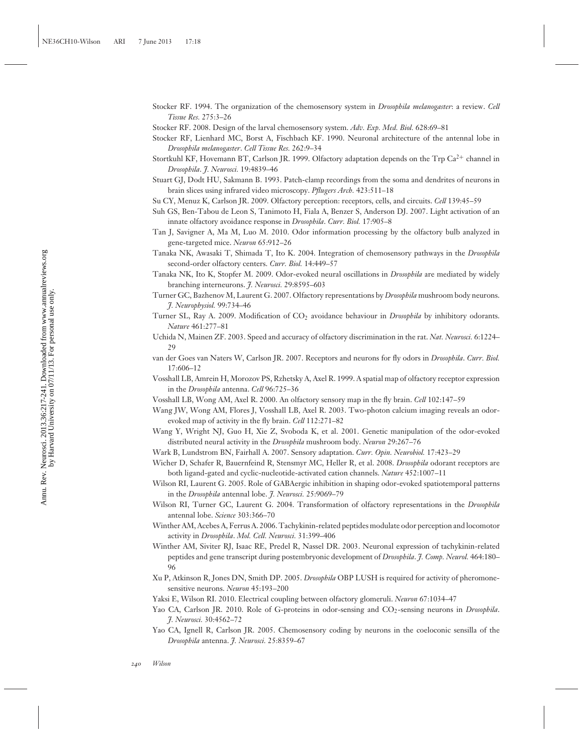- Stocker RF. 1994. The organization of the chemosensory system in *Drosophila melanogaster*: a review. *Cell Tissue Res.* 275:3–26
- Stocker RF. 2008. Design of the larval chemosensory system. *Adv. Exp. Med. Biol.* 628:69–81
- Stocker RF, Lienhard MC, Borst A, Fischbach KF. 1990. Neuronal architecture of the antennal lobe in *Drosophila melanogaster*. *Cell Tissue Res.* 262:9–34
- Stortkuhl KF, Hovemann BT, Carlson JR. 1999. Olfactory adaptation depends on the Trp  $Ca^{2+}$  channel in *Drosophila*. *J. Neurosci.* 19:4839–46
- Stuart GJ, Dodt HU, Sakmann B. 1993. Patch-clamp recordings from the soma and dendrites of neurons in brain slices using infrared video microscopy. *Pflugers Arch.* 423:511–18
- Su CY, Menuz K, Carlson JR. 2009. Olfactory perception: receptors, cells, and circuits. *Cell* 139:45–59
- Suh GS, Ben-Tabou de Leon S, Tanimoto H, Fiala A, Benzer S, Anderson DJ. 2007. Light activation of an innate olfactory avoidance response in *Drosophila*. *Curr. Biol.* 17:905–8
- Tan J, Savigner A, Ma M, Luo M. 2010. Odor information processing by the olfactory bulb analyzed in gene-targeted mice. *Neuron* 65:912–26
- Tanaka NK, Awasaki T, Shimada T, Ito K. 2004. Integration of chemosensory pathways in the *Drosophila* second-order olfactory centers. *Curr. Biol.* 14:449–57
- Tanaka NK, Ito K, Stopfer M. 2009. Odor-evoked neural oscillations in *Drosophila* are mediated by widely branching interneurons. *J. Neurosci.* 29:8595–603
- Turner GC, Bazhenov M, Laurent G. 2007. Olfactory representations by *Drosophila* mushroom body neurons. *J. Neurophysiol.* 99:734–46
- Turner SL, Ray A. 2009. Modification of CO2 avoidance behaviour in *Drosophila* by inhibitory odorants. *Nature* 461:277–81
- Uchida N, Mainen ZF. 2003. Speed and accuracy of olfactory discrimination in the rat. *Nat. Neurosci.* 6:1224– 29
- van der Goes van Naters W, Carlson JR. 2007. Receptors and neurons for fly odors in *Drosophila*. *Curr. Biol.* 17:606–12
- Vosshall LB, Amrein H, Morozov PS, Rzhetsky A, Axel R. 1999. A spatial map of olfactory receptor expression in the *Drosophila* antenna. *Cell* 96:725–36
- Vosshall LB, Wong AM, Axel R. 2000. An olfactory sensory map in the fly brain. *Cell* 102:147–59
- Wang JW, Wong AM, Flores J, Vosshall LB, Axel R. 2003. Two-photon calcium imaging reveals an odorevoked map of activity in the fly brain. *Cell* 112:271–82
- Wang Y, Wright NJ, Guo H, Xie Z, Svoboda K, et al. 2001. Genetic manipulation of the odor-evoked distributed neural activity in the *Drosophila* mushroom body. *Neuron* 29:267–76
- Wark B, Lundstrom BN, Fairhall A. 2007. Sensory adaptation. *Curr. Opin. Neurobiol.* 17:423–29
- Wicher D, Schafer R, Bauernfeind R, Stensmyr MC, Heller R, et al. 2008. *Drosophila* odorant receptors are both ligand-gated and cyclic-nucleotide-activated cation channels. *Nature* 452:1007–11
- Wilson RI, Laurent G. 2005. Role of GABAergic inhibition in shaping odor-evoked spatiotemporal patterns in the *Drosophila* antennal lobe. *J. Neurosci.* 25:9069–79
- Wilson RI, Turner GC, Laurent G. 2004. Transformation of olfactory representations in the *Drosophila* antennal lobe. *Science* 303:366–70
- Winther AM, Acebes A, Ferrus A. 2006. Tachykinin-related peptides modulate odor perception and locomotor activity in *Drosophila*. *Mol. Cell. Neurosci.* 31:399–406
- Winther AM, Siviter RJ, Isaac RE, Predel R, Nassel DR. 2003. Neuronal expression of tachykinin-related peptides and gene transcript during postembryonic development of *Drosophila*. *J. Comp. Neurol.* 464:180– 96
- Xu P, Atkinson R, Jones DN, Smith DP. 2005. *Drosophila* OBP LUSH is required for activity of pheromonesensitive neurons. *Neuron* 45:193–200
- Yaksi E, Wilson RI. 2010. Electrical coupling between olfactory glomeruli. *Neuron* 67:1034–47
- Yao CA, Carlson JR. 2010. Role of G-proteins in odor-sensing and CO<sub>2</sub>-sensing neurons in *Drosophila*. *J. Neurosci.* 30:4562–72
- Yao CA, Ignell R, Carlson JR. 2005. Chemosensory coding by neurons in the coeloconic sensilla of the *Drosophila* antenna. *J. Neurosci.* 25:8359–67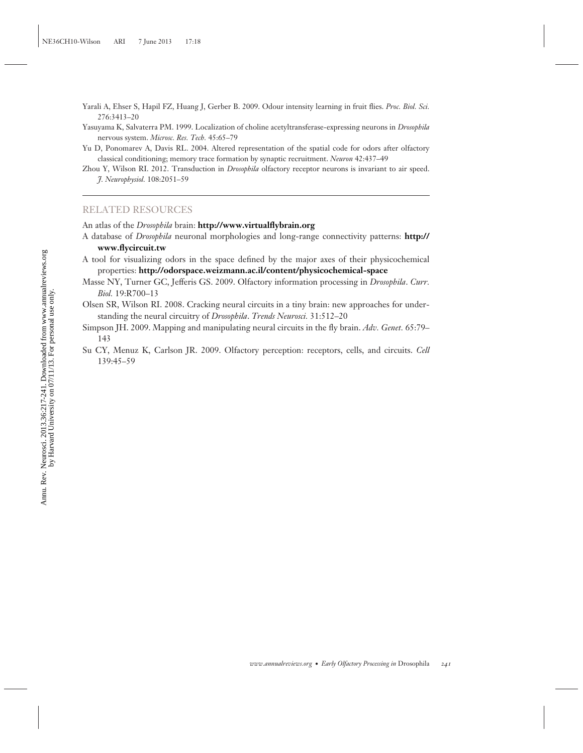- Yarali A, Ehser S, Hapil FZ, Huang J, Gerber B. 2009. Odour intensity learning in fruit flies. *Proc. Biol. Sci.* 276:3413–20
- Yasuyama K, Salvaterra PM. 1999. Localization of choline acetyltransferase-expressing neurons in *Drosophila* nervous system. *Microsc. Res. Tech.* 45:65–79
- Yu D, Ponomarev A, Davis RL. 2004. Altered representation of the spatial code for odors after olfactory classical conditioning; memory trace formation by synaptic recruitment. *Neuron* 42:437–49
- Zhou Y, Wilson RI. 2012. Transduction in *Drosophila* olfactory receptor neurons is invariant to air speed. *J. Neurophysiol.* 108:2051–59

## RELATED RESOURCES

#### An atlas of the *Drosophila* brain: **<http://www.virtualflybrain.org>**

- A database of *Drosophila* neuronal morphologies and long-range connectivity patterns: **[http://](http://www.flycircuit.tw) [www.flycircuit.tw](http://www.flycircuit.tw)**
- A tool for visualizing odors in the space defined by the major axes of their physicochemical properties: **<http://odorspace.weizmann.ac.il/content/physicochemical-space>**
- Masse NY, Turner GC, Jefferis GS. 2009. Olfactory information processing in *Drosophila*. *Curr. Biol.* 19:R700–13
- Olsen SR, Wilson RI. 2008. Cracking neural circuits in a tiny brain: new approaches for understanding the neural circuitry of *Drosophila*. *Trends Neurosci.* 31:512–20
- Simpson JH. 2009. Mapping and manipulating neural circuits in the fly brain. *Adv. Genet.* 65:79– 143
- Su CY, Menuz K, Carlson JR. 2009. Olfactory perception: receptors, cells, and circuits. *Cell* 139:45–59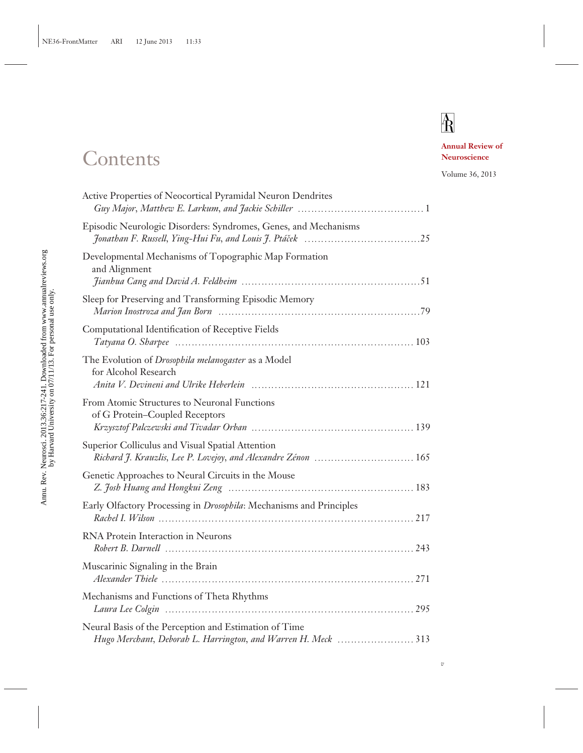# $\overline{R}$

*v*

# **Annual Review of Neuroscience**

# **Contents**

Volume 36, 2013

| Active Properties of Neocortical Pyramidal Neuron Dendrites                                                            |
|------------------------------------------------------------------------------------------------------------------------|
| Episodic Neurologic Disorders: Syndromes, Genes, and Mechanisms                                                        |
| Developmental Mechanisms of Topographic Map Formation<br>and Alignment                                                 |
| Sleep for Preserving and Transforming Episodic Memory                                                                  |
| Computational Identification of Receptive Fields                                                                       |
| The Evolution of Drosophila melanogaster as a Model<br>for Alcohol Research                                            |
| From Atomic Structures to Neuronal Functions<br>of G Protein-Coupled Receptors                                         |
| Superior Colliculus and Visual Spatial Attention                                                                       |
| Genetic Approaches to Neural Circuits in the Mouse                                                                     |
| Early Olfactory Processing in Drosophila: Mechanisms and Principles                                                    |
| RNA Protein Interaction in Neurons                                                                                     |
| Muscarinic Signaling in the Brain                                                                                      |
| Mechanisms and Functions of Theta Rhythms                                                                              |
| Neural Basis of the Perception and Estimation of Time<br>Hugo Merchant, Deborah L. Harrington, and Warren H. Meck  313 |
|                                                                                                                        |